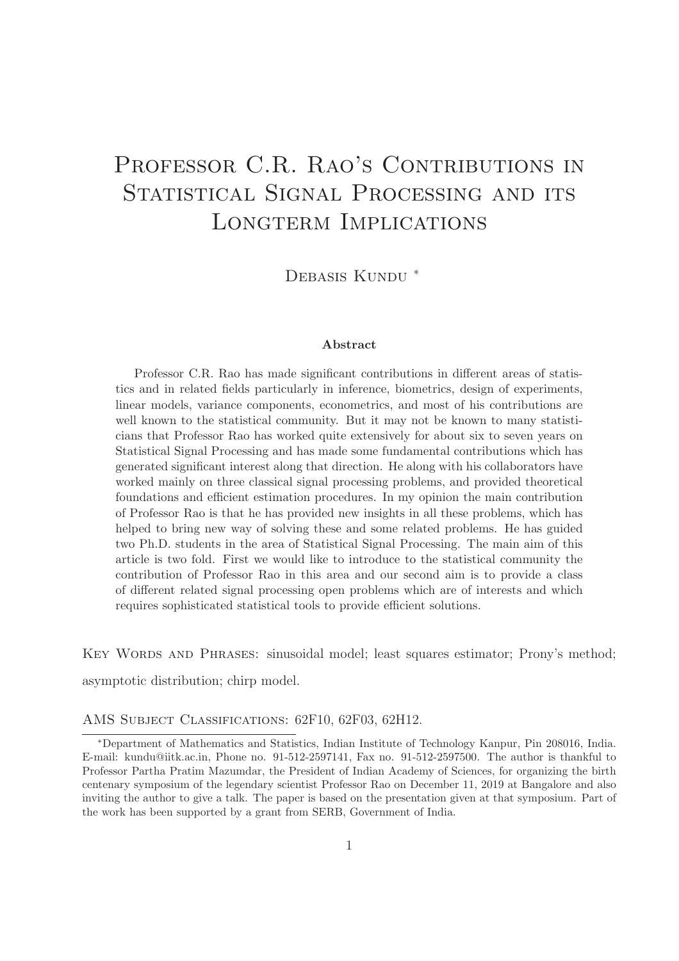# PROFESSOR C.R. RAO'S CONTRIBUTIONS IN STATISTICAL SIGNAL PROCESSING AND ITS Longterm Implications

DEBASIS KUNDU<sup>\*</sup>

### Abstract

Professor C.R. Rao has made significant contributions in different areas of statistics and in related fields particularly in inference, biometrics, design of experiments, linear models, variance components, econometrics, and most of his contributions are well known to the statistical community. But it may not be known to many statisticians that Professor Rao has worked quite extensively for about six to seven years on Statistical Signal Processing and has made some fundamental contributions which has generated significant interest along that direction. He along with his collaborators have worked mainly on three classical signal processing problems, and provided theoretical foundations and efficient estimation procedures. In my opinion the main contribution of Professor Rao is that he has provided new insights in all these problems, which has helped to bring new way of solving these and some related problems. He has guided two Ph.D. students in the area of Statistical Signal Processing. The main aim of this article is two fold. First we would like to introduce to the statistical community the contribution of Professor Rao in this area and our second aim is to provide a class of different related signal processing open problems which are of interests and which requires sophisticated statistical tools to provide efficient solutions.

KEY WORDS AND PHRASES: sinusoidal model; least squares estimator; Prony's method; asymptotic distribution; chirp model.

#### AMS SUBJECT CLASSIFICATIONS: 62F10, 62F03, 62H12.

<sup>∗</sup>Department of Mathematics and Statistics, Indian Institute of Technology Kanpur, Pin 208016, India. E-mail: kundu@iitk.ac.in, Phone no. 91-512-2597141, Fax no. 91-512-2597500. The author is thankful to Professor Partha Pratim Mazumdar, the President of Indian Academy of Sciences, for organizing the birth centenary symposium of the legendary scientist Professor Rao on December 11, 2019 at Bangalore and also inviting the author to give a talk. The paper is based on the presentation given at that symposium. Part of the work has been supported by a grant from SERB, Government of India.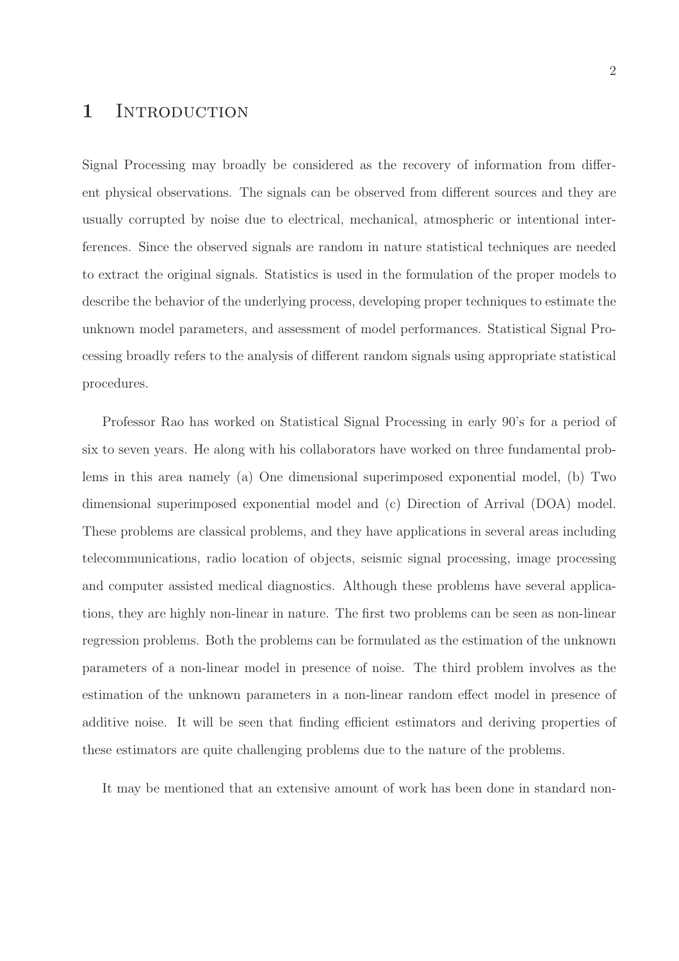### 1 INTRODUCTION

Signal Processing may broadly be considered as the recovery of information from different physical observations. The signals can be observed from different sources and they are usually corrupted by noise due to electrical, mechanical, atmospheric or intentional interferences. Since the observed signals are random in nature statistical techniques are needed to extract the original signals. Statistics is used in the formulation of the proper models to describe the behavior of the underlying process, developing proper techniques to estimate the unknown model parameters, and assessment of model performances. Statistical Signal Processing broadly refers to the analysis of different random signals using appropriate statistical procedures.

Professor Rao has worked on Statistical Signal Processing in early 90's for a period of six to seven years. He along with his collaborators have worked on three fundamental problems in this area namely (a) One dimensional superimposed exponential model, (b) Two dimensional superimposed exponential model and (c) Direction of Arrival (DOA) model. These problems are classical problems, and they have applications in several areas including telecommunications, radio location of objects, seismic signal processing, image processing and computer assisted medical diagnostics. Although these problems have several applications, they are highly non-linear in nature. The first two problems can be seen as non-linear regression problems. Both the problems can be formulated as the estimation of the unknown parameters of a non-linear model in presence of noise. The third problem involves as the estimation of the unknown parameters in a non-linear random effect model in presence of additive noise. It will be seen that finding efficient estimators and deriving properties of these estimators are quite challenging problems due to the nature of the problems.

It may be mentioned that an extensive amount of work has been done in standard non-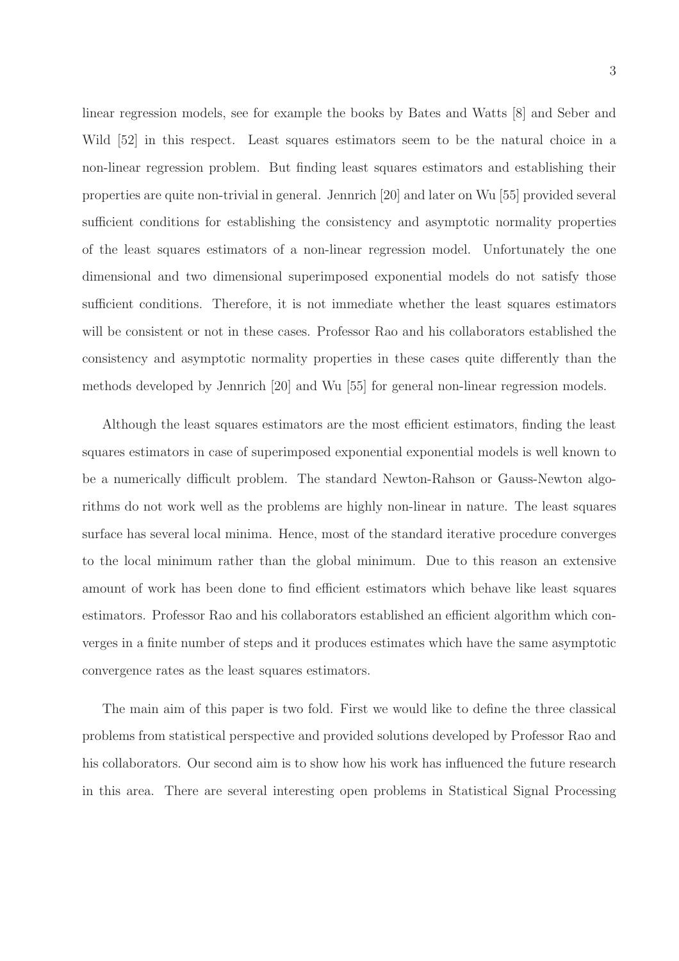linear regression models, see for example the books by Bates and Watts [8] and Seber and Wild [52] in this respect. Least squares estimators seem to be the natural choice in a non-linear regression problem. But finding least squares estimators and establishing their properties are quite non-trivial in general. Jennrich [20] and later on Wu [55] provided several sufficient conditions for establishing the consistency and asymptotic normality properties of the least squares estimators of a non-linear regression model. Unfortunately the one dimensional and two dimensional superimposed exponential models do not satisfy those sufficient conditions. Therefore, it is not immediate whether the least squares estimators will be consistent or not in these cases. Professor Rao and his collaborators established the consistency and asymptotic normality properties in these cases quite differently than the methods developed by Jennrich [20] and Wu [55] for general non-linear regression models.

Although the least squares estimators are the most efficient estimators, finding the least squares estimators in case of superimposed exponential exponential models is well known to be a numerically difficult problem. The standard Newton-Rahson or Gauss-Newton algorithms do not work well as the problems are highly non-linear in nature. The least squares surface has several local minima. Hence, most of the standard iterative procedure converges to the local minimum rather than the global minimum. Due to this reason an extensive amount of work has been done to find efficient estimators which behave like least squares estimators. Professor Rao and his collaborators established an efficient algorithm which converges in a finite number of steps and it produces estimates which have the same asymptotic convergence rates as the least squares estimators.

The main aim of this paper is two fold. First we would like to define the three classical problems from statistical perspective and provided solutions developed by Professor Rao and his collaborators. Our second aim is to show how his work has influenced the future research in this area. There are several interesting open problems in Statistical Signal Processing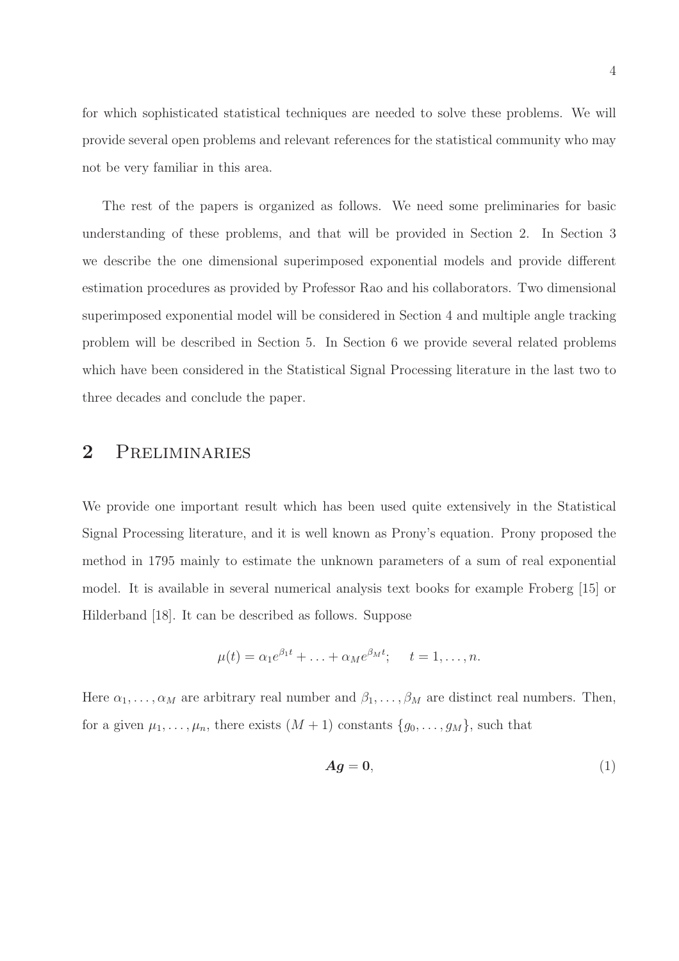for which sophisticated statistical techniques are needed to solve these problems. We will provide several open problems and relevant references for the statistical community who may not be very familiar in this area.

The rest of the papers is organized as follows. We need some preliminaries for basic understanding of these problems, and that will be provided in Section 2. In Section 3 we describe the one dimensional superimposed exponential models and provide different estimation procedures as provided by Professor Rao and his collaborators. Two dimensional superimposed exponential model will be considered in Section 4 and multiple angle tracking problem will be described in Section 5. In Section 6 we provide several related problems which have been considered in the Statistical Signal Processing literature in the last two to three decades and conclude the paper.

# 2 Preliminaries

We provide one important result which has been used quite extensively in the Statistical Signal Processing literature, and it is well known as Prony's equation. Prony proposed the method in 1795 mainly to estimate the unknown parameters of a sum of real exponential model. It is available in several numerical analysis text books for example Froberg [15] or Hilderband [18]. It can be described as follows. Suppose

$$
\mu(t) = \alpha_1 e^{\beta_1 t} + \ldots + \alpha_M e^{\beta_M t}; \quad t = 1, \ldots, n.
$$

Here  $\alpha_1, \ldots, \alpha_M$  are arbitrary real number and  $\beta_1, \ldots, \beta_M$  are distinct real numbers. Then, for a given  $\mu_1, \ldots, \mu_n$ , there exists  $(M + 1)$  constants  $\{g_0, \ldots, g_M\}$ , such that

$$
Ag=0,\t\t(1)
$$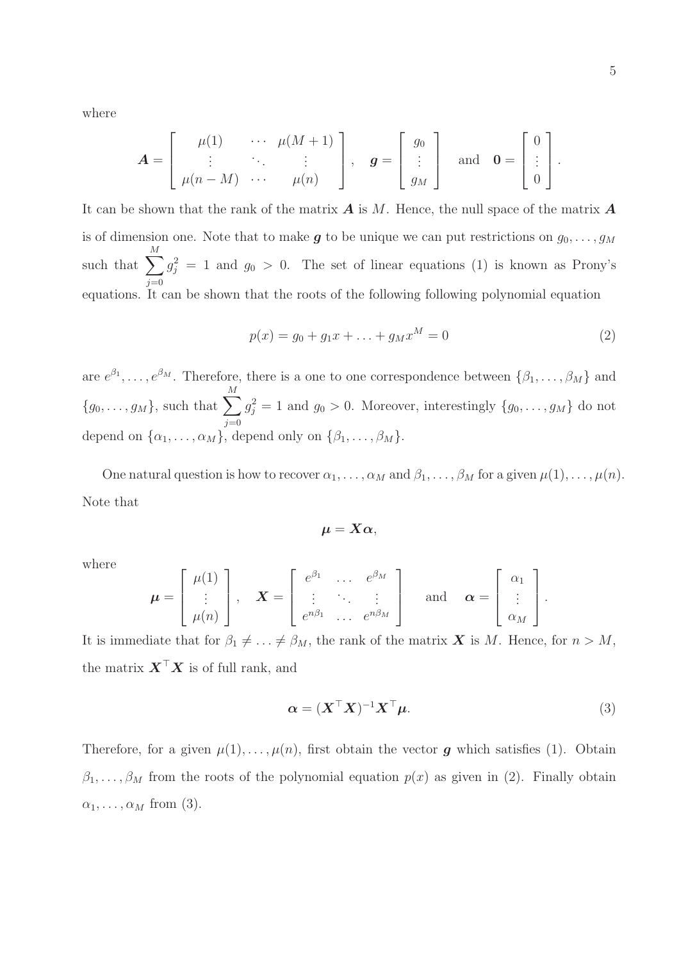where

$$
\mathbf{A} = \left[ \begin{array}{ccc} \mu(1) & \cdots & \mu(M+1) \\ \vdots & \ddots & \vdots \\ \mu(n-M) & \cdots & \mu(n) \end{array} \right], \quad \mathbf{g} = \left[ \begin{array}{c} g_0 \\ \vdots \\ g_M \end{array} \right] \quad \text{and} \quad \mathbf{0} = \left[ \begin{array}{c} 0 \\ \vdots \\ 0 \end{array} \right].
$$

It can be shown that the rank of the matrix  $\boldsymbol{A}$  is M. Hence, the null space of the matrix  $\boldsymbol{A}$ is of dimension one. Note that to make **g** to be unique we can put restrictions on  $g_0, \ldots, g_M$ such that  $\sum$ M  $j=0$  $g_j^2 = 1$  and  $g_0 > 0$ . The set of linear equations (1) is known as Prony's equations. It can be shown that the roots of the following following polynomial equation

$$
p(x) = g_0 + g_1 x + \ldots + g_M x^M = 0
$$
\n(2)

are  $e^{\beta_1}, \ldots, e^{\beta_M}$ . Therefore, there is a one to one correspondence between  $\{\beta_1, \ldots, \beta_M\}$  and  ${g_0, \ldots, g_M}$ , such that  $\sum^M$  $j=0$  $g_j^2 = 1$  and  $g_0 > 0$ . Moreover, interestingly  $\{g_0, \ldots, g_M\}$  do not depend on  $\{\alpha_1, \ldots, \alpha_M\}$ , depend only on  $\{\beta_1, \ldots, \beta_M\}$ .

One natural question is how to recover  $\alpha_1, \ldots, \alpha_M$  and  $\beta_1, \ldots, \beta_M$  for a given  $\mu(1), \ldots, \mu(n)$ . Note that

$$
\mu=X\alpha,
$$

where

$$
\boldsymbol{\mu} = \begin{bmatrix} \mu(1) \\ \vdots \\ \mu(n) \end{bmatrix}, \quad \boldsymbol{X} = \begin{bmatrix} e^{\beta_1} & \cdots & e^{\beta_M} \\ \vdots & \ddots & \vdots \\ e^{n\beta_1} & \cdots & e^{n\beta_M} \end{bmatrix} \quad \text{and} \quad \boldsymbol{\alpha} = \begin{bmatrix} \alpha_1 \\ \vdots \\ \alpha_M \end{bmatrix}.
$$

It is immediate that for  $\beta_1 \neq \ldots \neq \beta_M$ , the rank of the matrix **X** is M. Hence, for  $n > M$ , the matrix  $\boldsymbol{X}^\top \boldsymbol{X}$  is of full rank, and

$$
\boldsymbol{\alpha} = (\boldsymbol{X}^\top \boldsymbol{X})^{-1} \boldsymbol{X}^\top \boldsymbol{\mu}.\tag{3}
$$

Therefore, for a given  $\mu(1), \ldots, \mu(n)$ , first obtain the vector **g** which satisfies (1). Obtain  $\beta_1, \ldots, \beta_M$  from the roots of the polynomial equation  $p(x)$  as given in (2). Finally obtain  $\alpha_1, \ldots, \alpha_M$  from (3).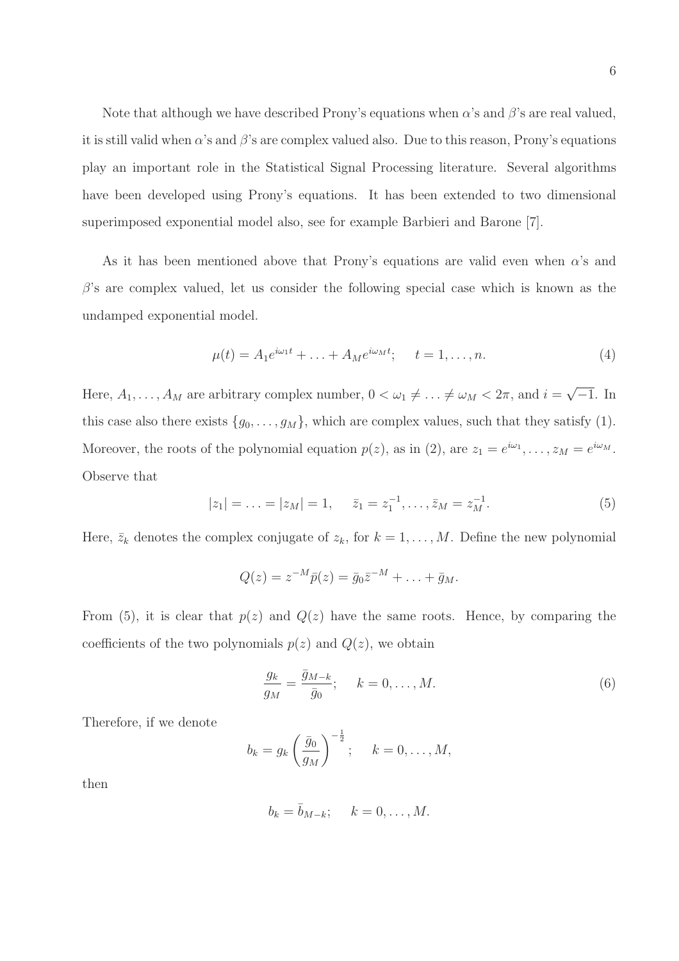Note that although we have described Prony's equations when  $\alpha$ 's and  $\beta$ 's are real valued, it is still valid when  $\alpha$ 's and  $\beta$ 's are complex valued also. Due to this reason, Prony's equations play an important role in the Statistical Signal Processing literature. Several algorithms have been developed using Prony's equations. It has been extended to two dimensional superimposed exponential model also, see for example Barbieri and Barone [7].

As it has been mentioned above that Prony's equations are valid even when  $\alpha$ 's and  $\beta$ 's are complex valued, let us consider the following special case which is known as the undamped exponential model.

$$
\mu(t) = A_1 e^{i\omega_1 t} + \dots + A_M e^{i\omega_M t}; \quad t = 1, \dots, n.
$$
\n(4)

Here,  $A_1, \ldots, A_M$  are arbitrary complex number,  $0 < \omega_1 \neq \ldots \neq \omega_M < 2\pi$ , and  $i = \sqrt{-1}$ . In this case also there exists  $\{g_0, \ldots, g_M\}$ , which are complex values, such that they satisfy (1). Moreover, the roots of the polynomial equation  $p(z)$ , as in (2), are  $z_1 = e^{i\omega_1}, \dots, z_M = e^{i\omega_M}$ . Observe that

$$
|z_1| = \ldots = |z_M| = 1, \quad \bar{z}_1 = z_1^{-1}, \ldots, \bar{z}_M = z_M^{-1}.
$$
 (5)

Here,  $\bar{z}_k$  denotes the complex conjugate of  $z_k$ , for  $k = 1, ..., M$ . Define the new polynomial

$$
Q(z) = z^{-M}\bar{p}(z) = \bar{g}_0 \bar{z}^{-M} + \ldots + \bar{g}_M.
$$

From (5), it is clear that  $p(z)$  and  $Q(z)$  have the same roots. Hence, by comparing the coefficients of the two polynomials  $p(z)$  and  $Q(z)$ , we obtain

$$
\frac{g_k}{g_M} = \frac{\bar{g}_{M-k}}{\bar{g}_0}; \qquad k = 0, \dots, M. \tag{6}
$$

Therefore, if we denote

$$
b_k = g_k \left(\frac{\bar{g}_0}{g_M}\right)^{-\frac{1}{2}}; \quad k = 0, \dots, M,
$$

then

$$
b_k = \overline{b}_{M-k}; \quad k = 0, \ldots, M.
$$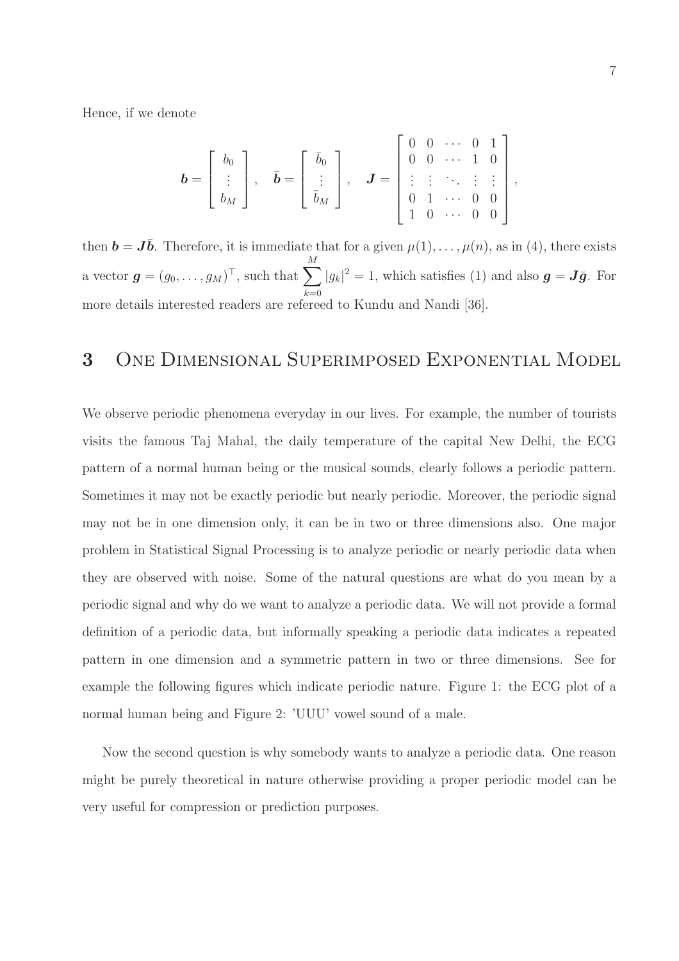Hence, if we denote

$$
\boldsymbol{b} = \left[ \begin{array}{c} b_0 \\ \vdots \\ b_M \end{array} \right], \quad \bar{\boldsymbol{b}} = \left[ \begin{array}{c} \bar{b}_0 \\ \vdots \\ \bar{b}_M \end{array} \right], \quad \boldsymbol{J} = \left[ \begin{array}{cccc} 0 & 0 & \cdots & 0 & 1 \\ 0 & 0 & \cdots & 1 & 0 \\ \vdots & \vdots & \ddots & \vdots & \vdots \\ 0 & 1 & \cdots & 0 & 0 \\ 1 & 0 & \cdots & 0 & 0 \end{array} \right],
$$

then  $\mathbf{b} = \mathbf{J}\bar{\mathbf{b}}$ . Therefore, it is immediate that for a given  $\mu(1), \ldots, \mu(n)$ , as in (4), there exists a vector  $\boldsymbol{g} = (g_0, \dots, g_M)^\top$ , such that  $\sum^M$  $k=0$  $|g_k|^2 = 1$ , which satisfies (1) and also  $g = J\bar{g}$ . For more details interested readers are refereed to Kundu and Nandi [36].

# 3 One Dimensional Superimposed Exponential Model

We observe periodic phenomena everyday in our lives. For example, the number of tourists visits the famous Taj Mahal, the daily temperature of the capital New Delhi, the ECG pattern of a normal human being or the musical sounds, clearly follows a periodic pattern. Sometimes it may not be exactly periodic but nearly periodic. Moreover, the periodic signal may not be in one dimension only, it can be in two or three dimensions also. One major problem in Statistical Signal Processing is to analyze periodic or nearly periodic data when they are observed with noise. Some of the natural questions are what do you mean by a periodic signal and why do we want to analyze a periodic data. We will not provide a formal definition of a periodic data, but informally speaking a periodic data indicates a repeated pattern in one dimension and a symmetric pattern in two or three dimensions. See for example the following figures which indicate periodic nature. Figure 1: the ECG plot of a normal human being and Figure 2: 'UUU' vowel sound of a male.

Now the second question is why somebody wants to analyze a periodic data. One reason might be purely theoretical in nature otherwise providing a proper periodic model can be very useful for compression or prediction purposes.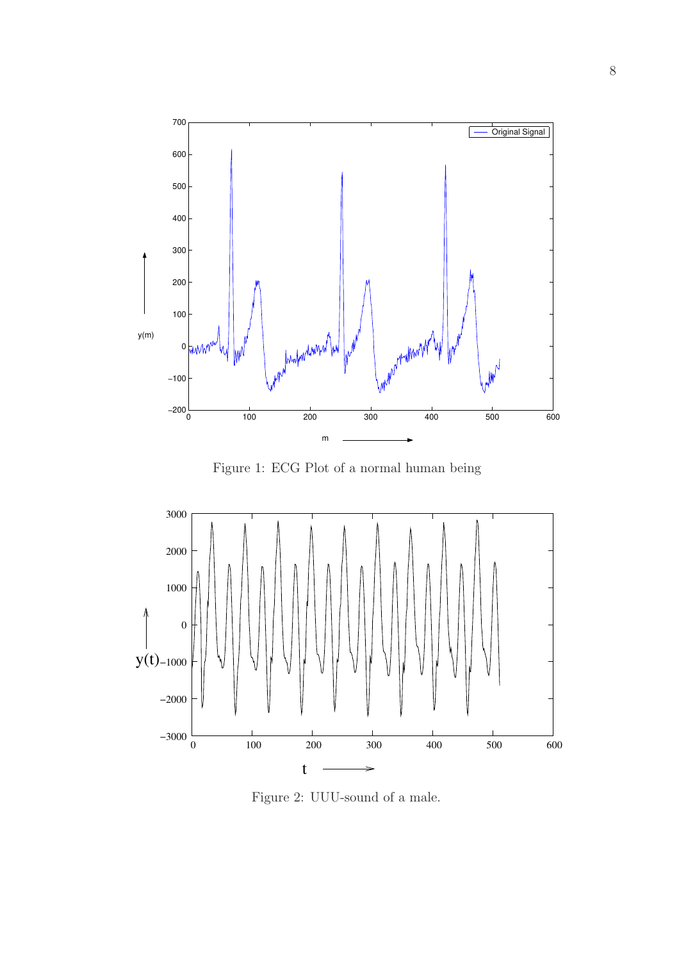

Figure 1: ECG Plot of a normal human being



Figure 2: UUU-sound of a male.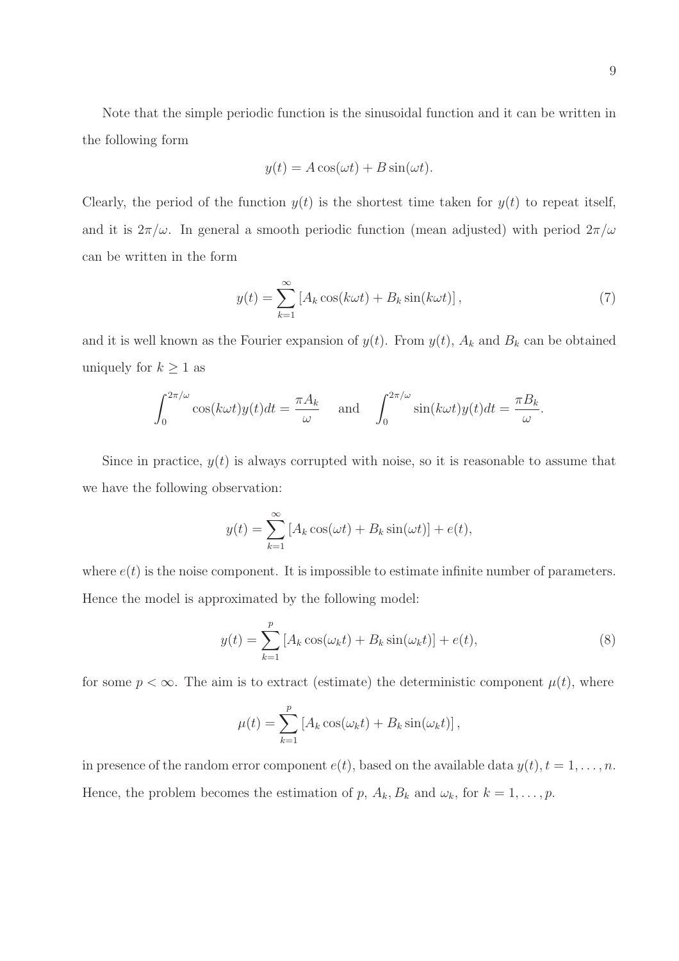Note that the simple periodic function is the sinusoidal function and it can be written in the following form

$$
y(t) = A\cos(\omega t) + B\sin(\omega t).
$$

Clearly, the period of the function  $y(t)$  is the shortest time taken for  $y(t)$  to repeat itself, and it is  $2\pi/\omega$ . In general a smooth periodic function (mean adjusted) with period  $2\pi/\omega$ can be written in the form

$$
y(t) = \sum_{k=1}^{\infty} \left[ A_k \cos(k\omega t) + B_k \sin(k\omega t) \right],\tag{7}
$$

and it is well known as the Fourier expansion of  $y(t)$ . From  $y(t)$ ,  $A_k$  and  $B_k$  can be obtained uniquely for  $k \geq 1$  as

$$
\int_0^{2\pi/\omega} \cos(k\omega t) y(t) dt = \frac{\pi A_k}{\omega} \quad \text{and} \quad \int_0^{2\pi/\omega} \sin(k\omega t) y(t) dt = \frac{\pi B_k}{\omega}.
$$

Since in practice,  $y(t)$  is always corrupted with noise, so it is reasonable to assume that we have the following observation:

$$
y(t) = \sum_{k=1}^{\infty} \left[ A_k \cos(\omega t) + B_k \sin(\omega t) \right] + e(t),
$$

where  $e(t)$  is the noise component. It is impossible to estimate infinite number of parameters. Hence the model is approximated by the following model:

$$
y(t) = \sum_{k=1}^{p} \left[ A_k \cos(\omega_k t) + B_k \sin(\omega_k t) \right] + e(t), \tag{8}
$$

for some  $p < \infty$ . The aim is to extract (estimate) the deterministic component  $\mu(t)$ , where

$$
\mu(t) = \sum_{k=1}^{p} \left[ A_k \cos(\omega_k t) + B_k \sin(\omega_k t) \right],
$$

in presence of the random error component  $e(t)$ , based on the available data  $y(t)$ ,  $t = 1, \ldots, n$ . Hence, the problem becomes the estimation of p,  $A_k$ ,  $B_k$  and  $\omega_k$ , for  $k = 1, \ldots, p$ .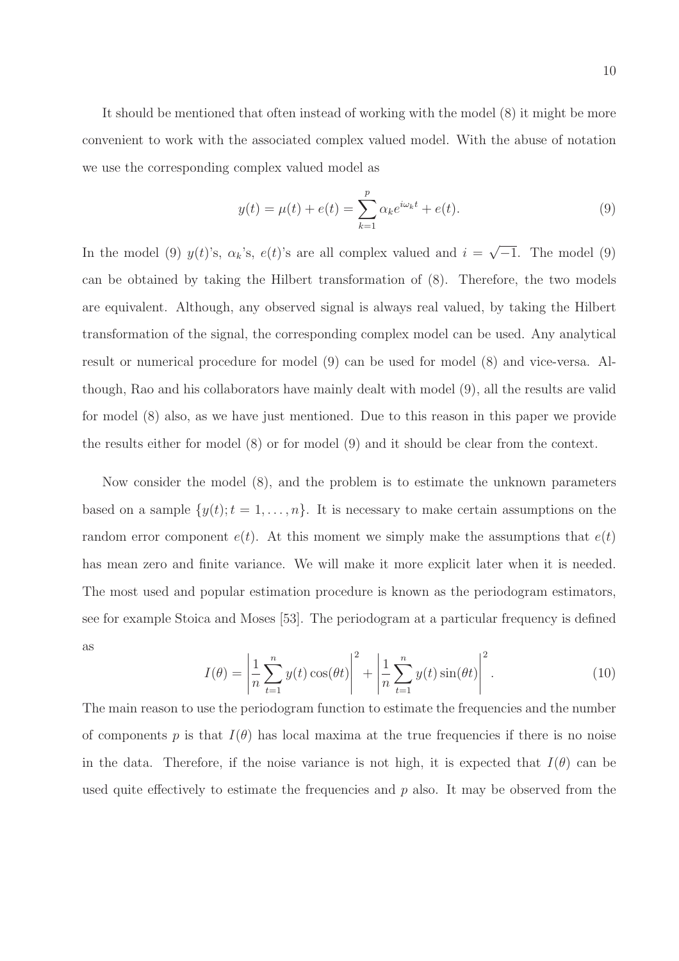It should be mentioned that often instead of working with the model (8) it might be more convenient to work with the associated complex valued model. With the abuse of notation we use the corresponding complex valued model as

$$
y(t) = \mu(t) + e(t) = \sum_{k=1}^{p} \alpha_k e^{i\omega_k t} + e(t).
$$
 (9)

In the model (9)  $y(t)$ 's,  $\alpha_k$ 's,  $e(t)$ 's are all complex valued and  $i = \sqrt{-1}$ . The model (9) can be obtained by taking the Hilbert transformation of (8). Therefore, the two models are equivalent. Although, any observed signal is always real valued, by taking the Hilbert transformation of the signal, the corresponding complex model can be used. Any analytical result or numerical procedure for model (9) can be used for model (8) and vice-versa. Although, Rao and his collaborators have mainly dealt with model (9), all the results are valid for model (8) also, as we have just mentioned. Due to this reason in this paper we provide the results either for model (8) or for model (9) and it should be clear from the context.

Now consider the model (8), and the problem is to estimate the unknown parameters based on a sample  $\{y(t); t = 1, \ldots, n\}$ . It is necessary to make certain assumptions on the random error component  $e(t)$ . At this moment we simply make the assumptions that  $e(t)$ has mean zero and finite variance. We will make it more explicit later when it is needed. The most used and popular estimation procedure is known as the periodogram estimators, see for example Stoica and Moses [53]. The periodogram at a particular frequency is defined as

$$
I(\theta) = \left| \frac{1}{n} \sum_{t=1}^{n} y(t) \cos(\theta t) \right|^2 + \left| \frac{1}{n} \sum_{t=1}^{n} y(t) \sin(\theta t) \right|^2.
$$
 (10)

The main reason to use the periodogram function to estimate the frequencies and the number of components p is that  $I(\theta)$  has local maxima at the true frequencies if there is no noise in the data. Therefore, if the noise variance is not high, it is expected that  $I(\theta)$  can be used quite effectively to estimate the frequencies and  $p$  also. It may be observed from the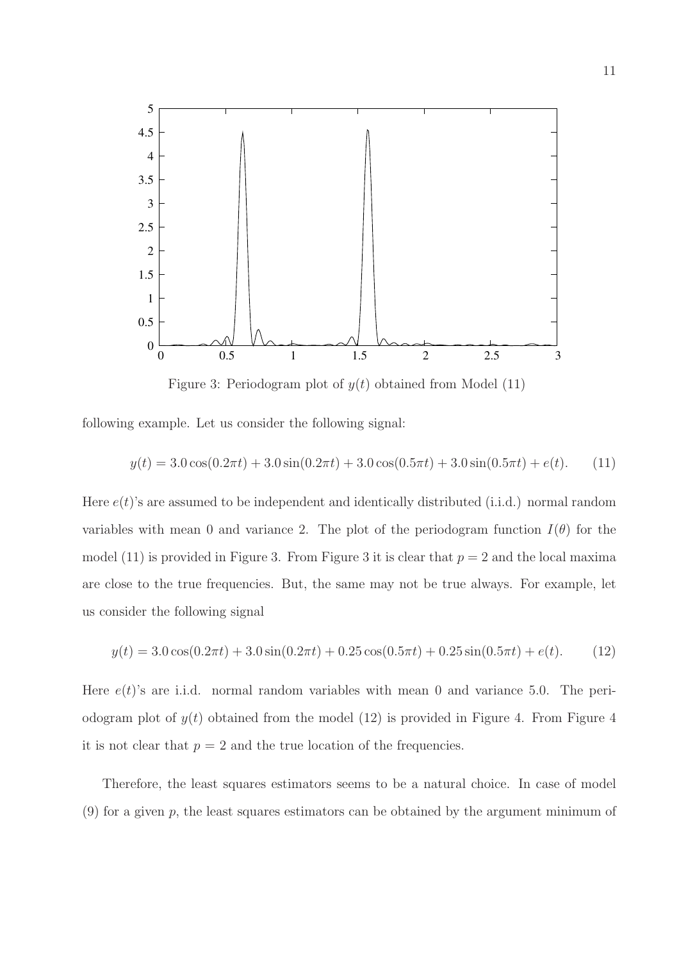

Figure 3: Periodogram plot of  $y(t)$  obtained from Model (11)

following example. Let us consider the following signal:

$$
y(t) = 3.0\cos(0.2\pi t) + 3.0\sin(0.2\pi t) + 3.0\cos(0.5\pi t) + 3.0\sin(0.5\pi t) + e(t).
$$
 (11)

Here  $e(t)$ 's are assumed to be independent and identically distributed (i.i.d.) normal random variables with mean 0 and variance 2. The plot of the periodogram function  $I(\theta)$  for the model (11) is provided in Figure 3. From Figure 3 it is clear that  $p = 2$  and the local maxima are close to the true frequencies. But, the same may not be true always. For example, let us consider the following signal

$$
y(t) = 3.0\cos(0.2\pi t) + 3.0\sin(0.2\pi t) + 0.25\cos(0.5\pi t) + 0.25\sin(0.5\pi t) + e(t).
$$
 (12)

Here  $e(t)$ 's are i.i.d. normal random variables with mean 0 and variance 5.0. The periodogram plot of  $y(t)$  obtained from the model (12) is provided in Figure 4. From Figure 4 it is not clear that  $p = 2$  and the true location of the frequencies.

Therefore, the least squares estimators seems to be a natural choice. In case of model  $(9)$  for a given p, the least squares estimators can be obtained by the argument minimum of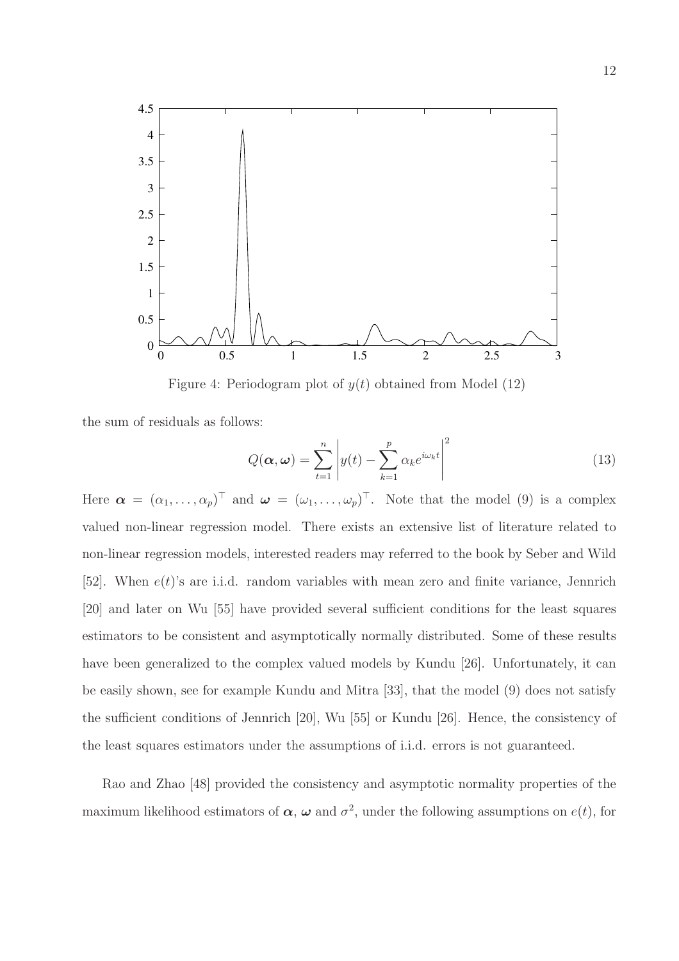

Figure 4: Periodogram plot of  $y(t)$  obtained from Model (12)

the sum of residuals as follows:

$$
Q(\boldsymbol{\alpha}, \boldsymbol{\omega}) = \sum_{t=1}^{n} \left| y(t) - \sum_{k=1}^{p} \alpha_k e^{i\omega_k t} \right|^2
$$
 (13)

Here  $\boldsymbol{\alpha} = (\alpha_1, \ldots, \alpha_p)^\top$  and  $\boldsymbol{\omega} = (\omega_1, \ldots, \omega_p)^\top$ . Note that the model (9) is a complex valued non-linear regression model. There exists an extensive list of literature related to non-linear regression models, interested readers may referred to the book by Seber and Wild [52]. When  $e(t)$ 's are i.i.d. random variables with mean zero and finite variance, Jennrich [20] and later on Wu [55] have provided several sufficient conditions for the least squares estimators to be consistent and asymptotically normally distributed. Some of these results have been generalized to the complex valued models by Kundu [26]. Unfortunately, it can be easily shown, see for example Kundu and Mitra [33], that the model (9) does not satisfy the sufficient conditions of Jennrich [20], Wu [55] or Kundu [26]. Hence, the consistency of the least squares estimators under the assumptions of i.i.d. errors is not guaranteed.

Rao and Zhao [48] provided the consistency and asymptotic normality properties of the maximum likelihood estimators of  $\alpha$ ,  $\omega$  and  $\sigma^2$ , under the following assumptions on  $e(t)$ , for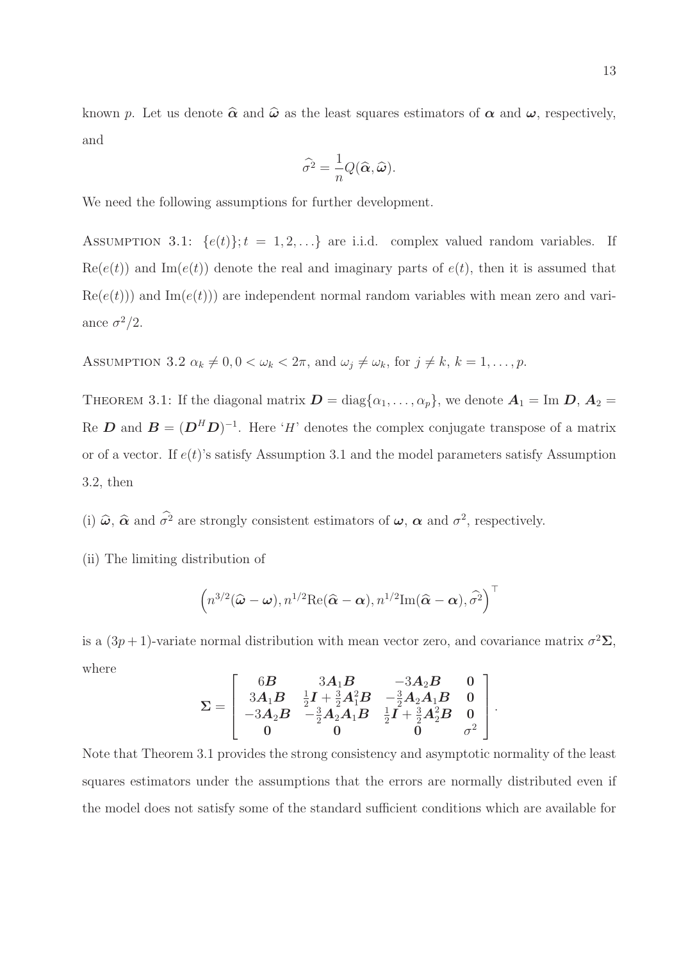known p. Let us denote  $\hat{\alpha}$  and  $\hat{\omega}$  as the least squares estimators of  $\alpha$  and  $\omega$ , respectively, and

$$
\widehat{\sigma^2} = \frac{1}{n} Q(\widehat{\boldsymbol{\alpha}}, \widehat{\boldsymbol{\omega}}).
$$

We need the following assumptions for further development.

ASSUMPTION 3.1:  $\{e(t)\}; t = 1, 2, \ldots\}$  are i.i.d. complex valued random variables. If  $\text{Re}(e(t))$  and  $\text{Im}(e(t))$  denote the real and imaginary parts of  $e(t)$ , then it is assumed that  $\text{Re}(e(t))$  and  $\text{Im}(e(t))$  are independent normal random variables with mean zero and variance  $\sigma^2/2$ .

ASSUMPTION 3.2  $\alpha_k \neq 0, 0 < \omega_k < 2\pi$ , and  $\omega_j \neq \omega_k$ , for  $j \neq k, k = 1, \ldots, p$ .

THEOREM 3.1: If the diagonal matrix  $\mathbf{D} = \text{diag}\{\alpha_1, \dots, \alpha_p\}$ , we denote  $\mathbf{A}_1 = \text{Im }\mathbf{D}$ ,  $\mathbf{A}_2 =$ Re D and  $B = (D^HD)^{-1}$ . Here 'H' denotes the complex conjugate transpose of a matrix or of a vector. If  $e(t)$ 's satisfy Assumption 3.1 and the model parameters satisfy Assumption 3.2, then

(i)  $\hat{\omega}$ ,  $\hat{\alpha}$  and  $\sigma^2$  are strongly consistent estimators of  $\omega$ ,  $\alpha$  and  $\sigma^2$ , respectively.

(ii) The limiting distribution of

$$
\left(n^{3/2}(\widehat{\boldsymbol{\omega}}-\boldsymbol{\omega}),n^{1/2}\mathrm{Re}(\widehat{\boldsymbol{\alpha}}-\boldsymbol{\alpha}),n^{1/2}\mathrm{Im}(\widehat{\boldsymbol{\alpha}}-\boldsymbol{\alpha}),\widehat{\sigma}^2\right)^{\top}
$$

is a  $(3p+1)$ -variate normal distribution with mean vector zero, and covariance matrix  $\sigma^2 \Sigma$ , where

$$
\Sigma = \left[ \begin{array}{ccc} 6B & 3A_1B & -3A_2B & 0 \\ 3A_1B & \frac{1}{2}I + \frac{3}{2}A_1^2B & -\frac{3}{2}A_2A_1B & 0 \\ -3A_2B & -\frac{3}{2}A_2A_1B & \frac{1}{2}I + \frac{3}{2}A_2^2B & 0 \\ 0 & 0 & 0 & \sigma^2 \end{array} \right]
$$

.

Note that Theorem 3.1 provides the strong consistency and asymptotic normality of the least squares estimators under the assumptions that the errors are normally distributed even if the model does not satisfy some of the standard sufficient conditions which are available for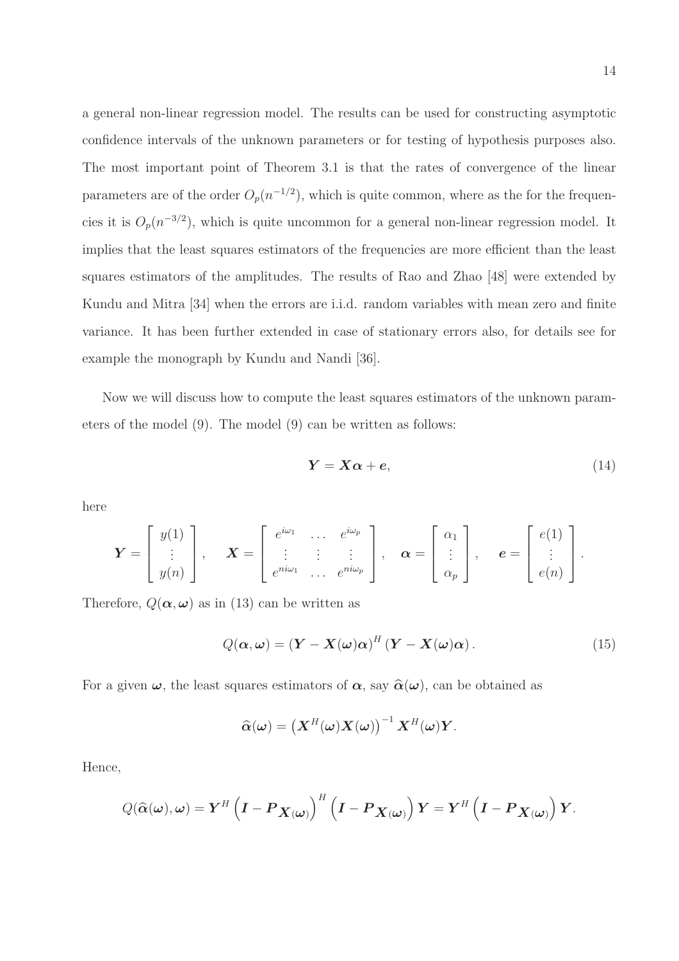a general non-linear regression model. The results can be used for constructing asymptotic confidence intervals of the unknown parameters or for testing of hypothesis purposes also. The most important point of Theorem 3.1 is that the rates of convergence of the linear parameters are of the order  $O_p(n^{-1/2})$ , which is quite common, where as the for the frequencies it is  $O_p(n^{-3/2})$ , which is quite uncommon for a general non-linear regression model. It implies that the least squares estimators of the frequencies are more efficient than the least squares estimators of the amplitudes. The results of Rao and Zhao [48] were extended by Kundu and Mitra [34] when the errors are i.i.d. random variables with mean zero and finite variance. It has been further extended in case of stationary errors also, for details see for example the monograph by Kundu and Nandi [36].

Now we will discuss how to compute the least squares estimators of the unknown parameters of the model (9). The model (9) can be written as follows:

$$
Y = X\alpha + e,\tag{14}
$$

here

$$
\boldsymbol{Y} = \begin{bmatrix} y(1) \\ \vdots \\ y(n) \end{bmatrix}, \quad \boldsymbol{X} = \begin{bmatrix} e^{i\omega_1} & \cdots & e^{i\omega_p} \\ \vdots & \vdots & \vdots \\ e^{ni\omega_1} & \cdots & e^{ni\omega_p} \end{bmatrix}, \quad \boldsymbol{\alpha} = \begin{bmatrix} \alpha_1 \\ \vdots \\ \alpha_p \end{bmatrix}, \quad \boldsymbol{e} = \begin{bmatrix} e(1) \\ \vdots \\ e(n) \end{bmatrix}.
$$

Therefore,  $Q(\boldsymbol{\alpha}, \boldsymbol{\omega})$  as in (13) can be written as

$$
Q(\boldsymbol{\alpha}, \boldsymbol{\omega}) = (\boldsymbol{Y} - \boldsymbol{X}(\boldsymbol{\omega})\boldsymbol{\alpha})^H (\boldsymbol{Y} - \boldsymbol{X}(\boldsymbol{\omega})\boldsymbol{\alpha}).
$$
\n(15)

For a given  $\omega$ , the least squares estimators of  $\alpha$ , say  $\hat{\alpha}(\omega)$ , can be obtained as

$$
\widehat{\alpha}(\boldsymbol{\omega}) = \left(\boldsymbol{X}^H(\boldsymbol{\omega})\boldsymbol{X}(\boldsymbol{\omega})\right)^{-1}\boldsymbol{X}^H(\boldsymbol{\omega})\boldsymbol{Y}.
$$

Hence,

$$
Q(\widehat{\alpha}(\boldsymbol{\omega}), \boldsymbol{\omega}) = \boldsymbol{Y}^H \left(\boldsymbol{I} - \boldsymbol{P}_{\boldsymbol{X}(\boldsymbol{\omega})}\right)^H \left(\boldsymbol{I} - \boldsymbol{P}_{\boldsymbol{X}(\boldsymbol{\omega})}\right) \boldsymbol{Y} = \boldsymbol{Y}^H \left(\boldsymbol{I} - \boldsymbol{P}_{\boldsymbol{X}(\boldsymbol{\omega})}\right) \boldsymbol{Y}.
$$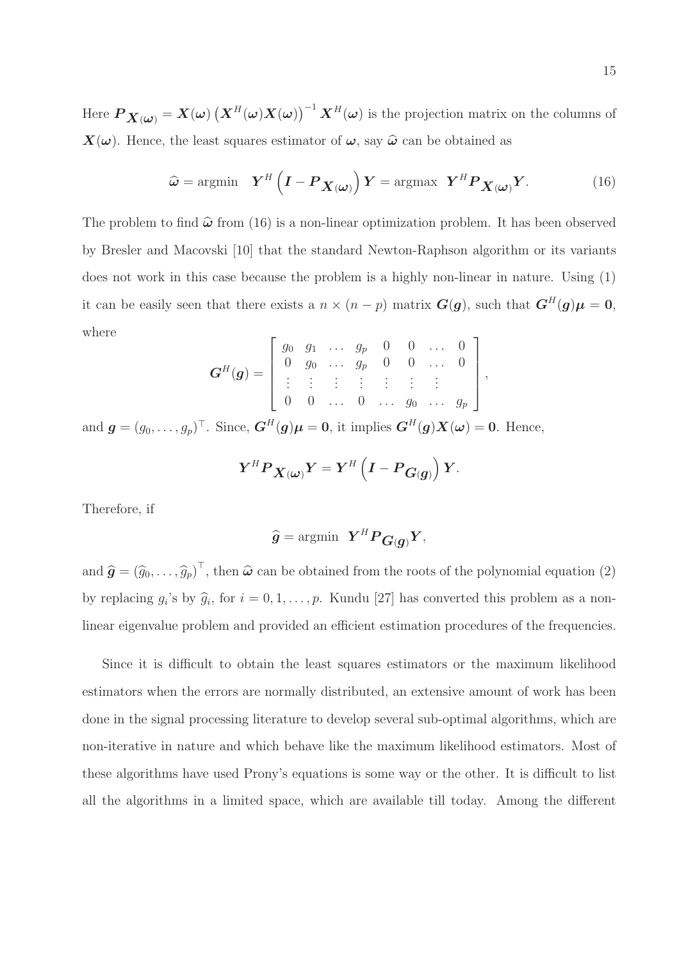Here  $\bm{P}_{\bm{X}(\bm{\omega})}=\bm{X}(\bm{\omega})\left(\bm{X}^H(\bm{\omega})\bm{X}(\bm{\omega})\right)^{-1}\bm{X}^H(\bm{\omega})$  is the projection matrix on the columns of  $X(\omega)$ . Hence, the least squares estimator of  $\omega$ , say  $\hat{\omega}$  can be obtained as

$$
\widehat{\boldsymbol{\omega}} = \operatorname{argmin} \quad \boldsymbol{Y}^{H} \left( \boldsymbol{I} - \boldsymbol{P}_{\boldsymbol{X}(\boldsymbol{\omega})} \right) \boldsymbol{Y} = \operatorname{argmax} \ \boldsymbol{Y}^{H} \boldsymbol{P}_{\boldsymbol{X}(\boldsymbol{\omega})} \boldsymbol{Y}.
$$
 (16)

,

The problem to find  $\hat{\omega}$  from (16) is a non-linear optimization problem. It has been observed by Bresler and Macovski [10] that the standard Newton-Raphson algorithm or its variants does not work in this case because the problem is a highly non-linear in nature. Using (1) it can be easily seen that there exists a  $n \times (n - p)$  matrix  $G(g)$ , such that  $G^H(g)\mu = 0$ , where

$$
\mathbf{G}^{H}(\boldsymbol{g}) = \left[ \begin{array}{cccccc} g_0 & g_1 & \dots & g_p & 0 & 0 & \dots & 0 \\ 0 & g_0 & \dots & g_p & 0 & 0 & \dots & 0 \\ \vdots & \vdots & \vdots & \vdots & \vdots & \vdots & \vdots \\ 0 & 0 & \dots & 0 & \dots & g_0 & \dots & g_p \end{array} \right]
$$

and  $g = (g_0, \ldots, g_p)^\top$ . Since,  $G^H(g)\mu = 0$ , it implies  $G^H(g)X(\omega) = 0$ . Hence,

$$
Y^H P_{\boldsymbol{X}(\boldsymbol{\omega})} Y = Y^H \left(I - P_{\boldsymbol{G}(\boldsymbol{g})}\right) Y.
$$

Therefore, if

$$
\widehat{g} = \mathrm{argmin} \ \ Y^H P_{G(g)} Y,
$$

and  $\hat{\boldsymbol{g}} = (\hat{g}_0, \dots, \hat{g}_p)^\top$ , then  $\hat{\boldsymbol{\omega}}$  can be obtained from the roots of the polynomial equation (2) by replacing  $g_i$ 's by  $\hat{g}_i$ , for  $i = 0, 1, ..., p$ . Kundu [27] has converted this problem as a nonlinear eigenvalue problem and provided an efficient estimation procedures of the frequencies.

Since it is difficult to obtain the least squares estimators or the maximum likelihood estimators when the errors are normally distributed, an extensive amount of work has been done in the signal processing literature to develop several sub-optimal algorithms, which are non-iterative in nature and which behave like the maximum likelihood estimators. Most of these algorithms have used Prony's equations is some way or the other. It is difficult to list all the algorithms in a limited space, which are available till today. Among the different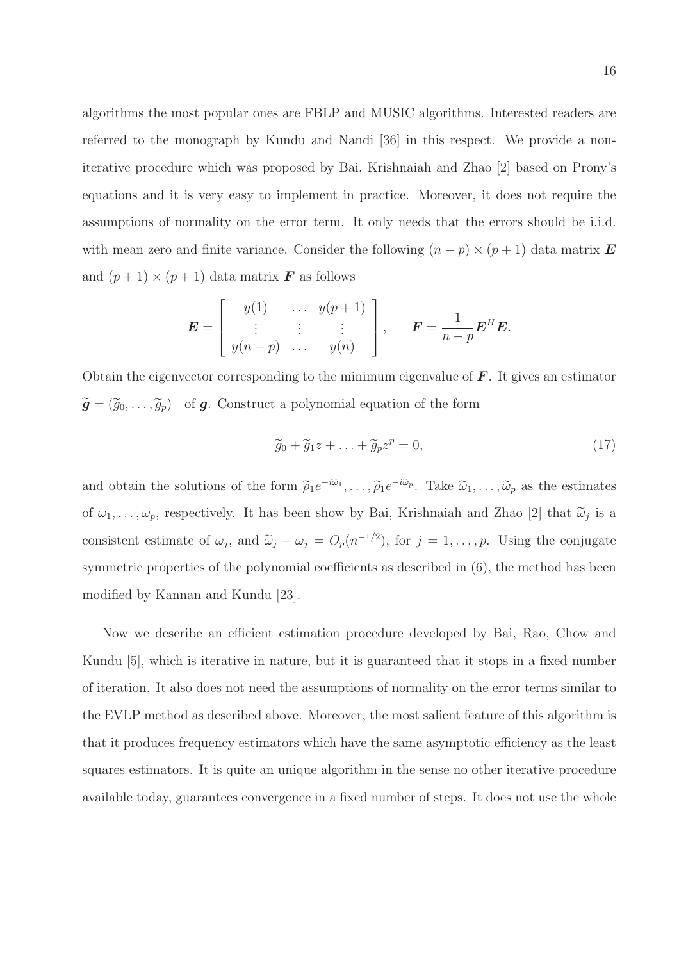algorithms the most popular ones are FBLP and MUSIC algorithms. Interested readers are referred to the monograph by Kundu and Nandi [36] in this respect. We provide a noniterative procedure which was proposed by Bai, Krishnaiah and Zhao [2] based on Prony's equations and it is very easy to implement in practice. Moreover, it does not require the assumptions of normality on the error term. It only needs that the errors should be i.i.d. with mean zero and finite variance. Consider the following  $(n - p) \times (p + 1)$  data matrix **E** and  $(p+1) \times (p+1)$  data matrix **F** as follows

$$
\mathbf{E} = \begin{bmatrix} y(1) & \cdots & y(p+1) \\ \vdots & \vdots & \vdots \\ y(n-p) & \cdots & y(n) \end{bmatrix}, \quad \mathbf{F} = \frac{1}{n-p} \mathbf{E}^H \mathbf{E}.
$$

Obtain the eigenvector corresponding to the minimum eigenvalue of  $\bm{F}$ . It gives an estimator  $\widetilde{\mathbf{g}} = (\widetilde{g}_0, \dots, \widetilde{g}_p)^\top$  of **g**. Construct a polynomial equation of the form

$$
\widetilde{g}_0 + \widetilde{g}_1 z + \ldots + \widetilde{g}_p z^p = 0, \tag{17}
$$

and obtain the solutions of the form  $\tilde{\rho}_1 e^{-i\tilde{\omega}_1}, \dots, \tilde{\rho}_1 e^{-i\tilde{\omega}_p}$ . Take  $\tilde{\omega}_1, \dots, \tilde{\omega}_p$  as the estimates of  $\omega_1, \ldots, \omega_p$ , respectively. It has been show by Bai, Krishnaiah and Zhao [2] that  $\tilde{\omega}_j$  is a consistent estimate of  $\omega_j$ , and  $\tilde{\omega}_j - \omega_j = O_p(n^{-1/2})$ , for  $j = 1, ..., p$ . Using the conjugate symmetric properties of the polynomial coefficients as described in  $(6)$ , the method has been modified by Kannan and Kundu [23].

Now we describe an efficient estimation procedure developed by Bai, Rao, Chow and Kundu [5], which is iterative in nature, but it is guaranteed that it stops in a fixed number of iteration. It also does not need the assumptions of normality on the error terms similar to the EVLP method as described above. Moreover, the most salient feature of this algorithm is that it produces frequency estimators which have the same asymptotic efficiency as the least squares estimators. It is quite an unique algorithm in the sense no other iterative procedure available today, guarantees convergence in a fixed number of steps. It does not use the whole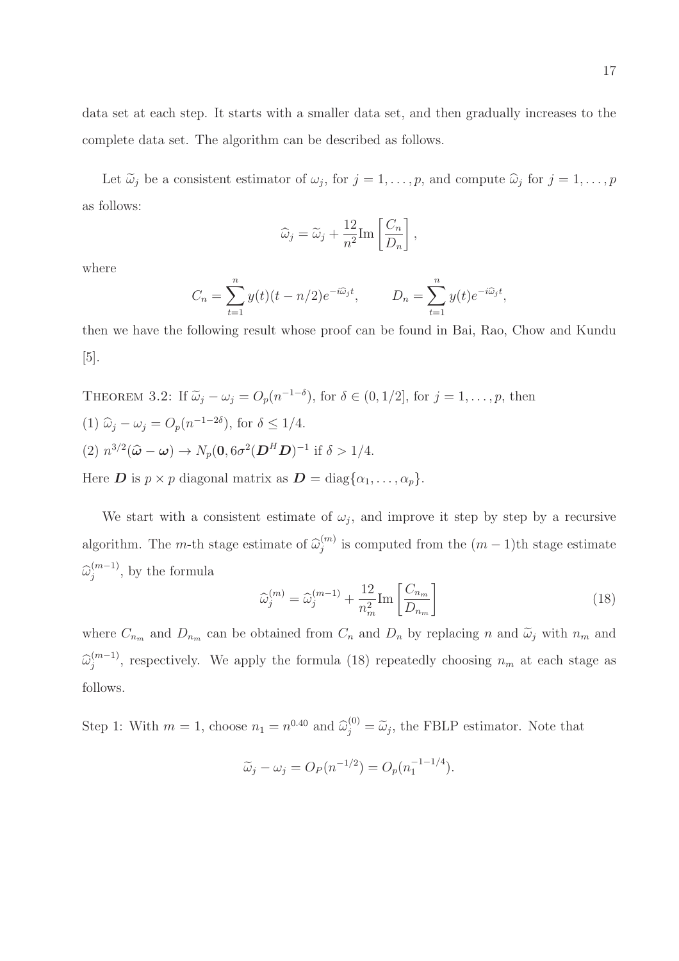data set at each step. It starts with a smaller data set, and then gradually increases to the complete data set. The algorithm can be described as follows.

Let  $\tilde{\omega}_j$  be a consistent estimator of  $\omega_j$ , for  $j = 1, \ldots, p$ , and compute  $\hat{\omega}_j$  for  $j = 1, \ldots, p$ as follows:

$$
\widehat{\omega}_j = \widetilde{\omega}_j + \frac{12}{n^2} \text{Im} \left[ \frac{C_n}{D_n} \right]
$$

,

where

$$
C_n = \sum_{t=1}^n y(t)(t - n/2)e^{-i\widehat{\omega}_j t}, \qquad D_n = \sum_{t=1}^n y(t)e^{-i\widehat{\omega}_j t},
$$

then we have the following result whose proof can be found in Bai, Rao, Chow and Kundu [5].

THEOREM 3.2: If  $\tilde{\omega}_j - \omega_j = O_p(n^{-1-\delta})$ , for  $\delta \in (0, 1/2]$ , for  $j = 1, \ldots, p$ , then (1)  $\hat{\omega}_j - \omega_j = O_p(n^{-1-2\delta})$ , for  $\delta \le 1/4$ . (2)  $n^{3/2}(\hat{\omega} - \omega) \to N_p(0, 6\sigma^2(\mathbf{D}^H \mathbf{D})^{-1} \text{ if } \delta > 1/4.$ Here **D** is  $p \times p$  diagonal matrix as  $\mathbf{D} = \text{diag}\{\alpha_1, \dots, \alpha_p\}.$ 

We start with a consistent estimate of  $\omega_j$ , and improve it step by step by a recursive algorithm. The *m*-th stage estimate of  $\widehat{\omega}_{j}^{(m)}$  $j^{(m)}$  is computed from the  $(m-1)$ th stage estimate  $\widehat{\omega}_{j}^{(m-1)}$  $j^{(m-1)}$ , by the formula

$$
\widehat{\omega}_{j}^{(m)} = \widehat{\omega}_{j}^{(m-1)} + \frac{12}{n_m^2} \text{Im} \left[ \frac{C_{n_m}}{D_{n_m}} \right]
$$
\n(18)

where  $C_{n_m}$  and  $D_{n_m}$  can be obtained from  $C_n$  and  $D_n$  by replacing n and  $\tilde{\omega}_j$  with  $n_m$  and  $\widehat{\omega}_{j}^{(m-1)}$  $j^{(m-1)}$ , respectively. We apply the formula (18) repeatedly choosing  $n_m$  at each stage as follows.

Step 1: With  $m = 1$ , choose  $n_1 = n^{0.40}$  and  $\hat{\omega}_j^{(0)} = \tilde{\omega}_j$ , the FBLP estimator. Note that

$$
\widetilde{\omega}_j - \omega_j = O_P(n^{-1/2}) = O_p(n_1^{-1-1/4}).
$$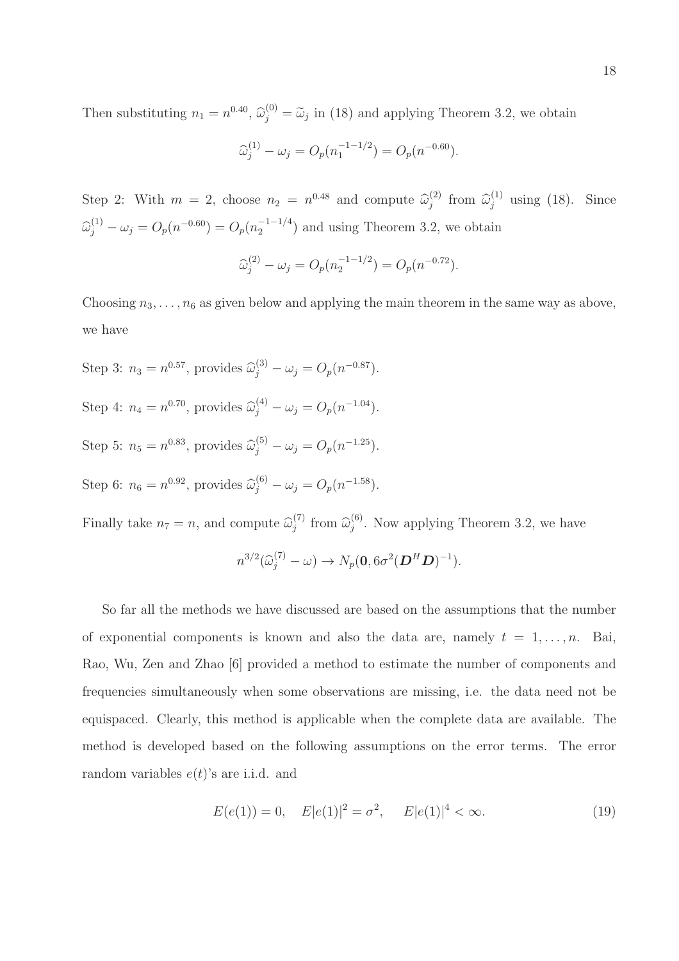Then substituting  $n_1 = n^{0.40}$ ,  $\hat{\omega}_j^{(0)} = \tilde{\omega}_j$  in (18) and applying Theorem 3.2, we obtain

$$
\widehat{\omega}_{j}^{(1)} - \omega_{j} = O_{p}(n_{1}^{-1-1/2}) = O_{p}(n^{-0.60}).
$$

Step 2: With  $m = 2$ , choose  $n_2 = n^{0.48}$  and compute  $\hat{\omega}_j^{(2)}$  $\hat{\omega}_j^{(1)}$  from  $\hat{\omega}_j^{(1)}$  using (18). Since  $\widehat{\omega}_j^{(1)} - \omega_j = O_p(n^{-0.60}) = O_p(n_2^{-1-1/4})$  $\binom{-1-1}{2}$  and using Theorem 3.2, we obtain

$$
\widehat{\omega}_{j}^{(2)} - \omega_{j} = O_{p}(n_{2}^{-1-1/2}) = O_{p}(n^{-0.72}).
$$

Choosing  $n_3, \ldots, n_6$  as given below and applying the main theorem in the same way as above, we have

Step 3:  $n_3 = n^{0.57}$ , provides  $\hat{\omega}_j^{(3)} - \omega_j = O_p(n^{-0.87})$ . Step 4:  $n_4 = n^{0.70}$ , provides  $\hat{\omega}_j^{(4)} - \omega_j = O_p(n^{-1.04})$ . Step 5:  $n_5 = n^{0.83}$ , provides  $\hat{\omega}_j^{(5)} - \omega_j = O_p(n^{-1.25})$ . Step 6:  $n_6 = n^{0.92}$ , provides  $\hat{\omega}_j^{(6)} - \omega_j = O_p(n^{-1.58})$ .

Finally take  $n_7 = n$ , and compute  $\widehat{\omega}_j^{(7)}$  $\widehat{\omega}_j^{(7)}$  from  $\widehat{\omega}_j^{(6)}$  $j^{(0)}$ . Now applying Theorem 3.2, we have

$$
n^{3/2}(\widehat{\omega}_{j}^{(7)} - \omega) \rightarrow N_p(\mathbf{0}, 6\sigma^2(\mathbf{D}^H \mathbf{D})^{-1}).
$$

So far all the methods we have discussed are based on the assumptions that the number of exponential components is known and also the data are, namely  $t = 1, \ldots, n$ . Bai, Rao, Wu, Zen and Zhao [6] provided a method to estimate the number of components and frequencies simultaneously when some observations are missing, i.e. the data need not be equispaced. Clearly, this method is applicable when the complete data are available. The method is developed based on the following assumptions on the error terms. The error random variables  $e(t)$ 's are i.i.d. and

$$
E(e(1)) = 0, \quad E|e(1)|^2 = \sigma^2, \quad E|e(1)|^4 < \infty.
$$
 (19)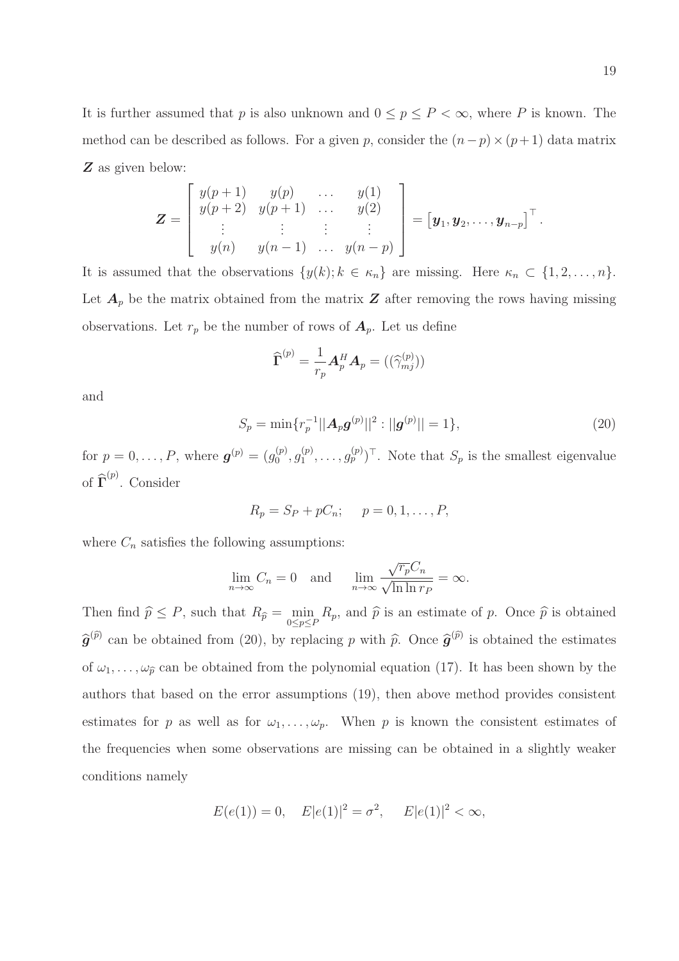19

It is further assumed that p is also unknown and  $0 \le p \le P < \infty$ , where P is known. The method can be described as follows. For a given p, consider the  $(n-p) \times (p+1)$  data matrix Z as given below:

$$
\mathbf{Z} = \begin{bmatrix} y(p+1) & y(p) & \dots & y(1) \\ y(p+2) & y(p+1) & \dots & y(2) \\ \vdots & \vdots & \vdots & \vdots \\ y(n) & y(n-1) & \dots & y(n-p) \end{bmatrix} = [\mathbf{y}_1, \mathbf{y}_2, \dots, \mathbf{y}_{n-p}]^\top.
$$

It is assumed that the observations  $\{y(k); k \in \kappa_n\}$  are missing. Here  $\kappa_n \subset \{1, 2, ..., n\}$ . Let  $A_p$  be the matrix obtained from the matrix  $Z$  after removing the rows having missing observations. Let  $r_p$  be the number of rows of  $A_p$ . Let us define

$$
\widehat{\boldsymbol{\Gamma}}^{(p)}=\frac{1}{r_p}\boldsymbol{A}_p^H\boldsymbol{A}_p=((\widehat{\gamma}_{mj}^{(p)}))
$$

and

$$
S_p = \min\{r_p^{-1}||\mathbf{A}_p\mathbf{g}^{(p)}||^2 : ||\mathbf{g}^{(p)}|| = 1\},\tag{20}
$$

for  $p = 0, ..., P$ , where  $g^{(p)} = (g_0^{(p)})$  $\overset{(p)}{0},\overset{(p)}{g_1^{(p)}}$  $\binom{(p)}{1}, \ldots, \binom{(p)}{p}^{\top}$ . Note that  $S_p$  is the smallest eigenvalue of  $\widehat{\Gamma}^{(p)}$ . Consider

$$
R_p = S_P + pC_n; \quad p = 0, 1, \dots, P,
$$

where  $C_n$  satisfies the following assumptions:

$$
\lim_{n \to \infty} C_n = 0 \quad \text{and} \quad \lim_{n \to \infty} \frac{\sqrt{r_p} C_n}{\sqrt{\ln \ln r_p}} = \infty.
$$

Then find  $\hat{p} \leq P$ , such that  $R_{\hat{p}} = \min_{0 \leq p \leq P} R_p$ , and  $\hat{p}$  is an estimate of p. Once  $\hat{p}$  is obtained  $\hat{g}^{(\hat{p})}$  can be obtained from (20), by replacing p with  $\hat{p}$ . Once  $\hat{g}^{(\hat{p})}$  is obtained the estimates of  $\omega_1, \ldots, \omega_{\hat{p}}$  can be obtained from the polynomial equation (17). It has been shown by the authors that based on the error assumptions (19), then above method provides consistent estimates for p as well as for  $\omega_1, \ldots, \omega_p$ . When p is known the consistent estimates of the frequencies when some observations are missing can be obtained in a slightly weaker conditions namely

$$
E(e(1)) = 0
$$
,  $E|e(1)|^2 = \sigma^2$ ,  $E|e(1)|^2 < \infty$ ,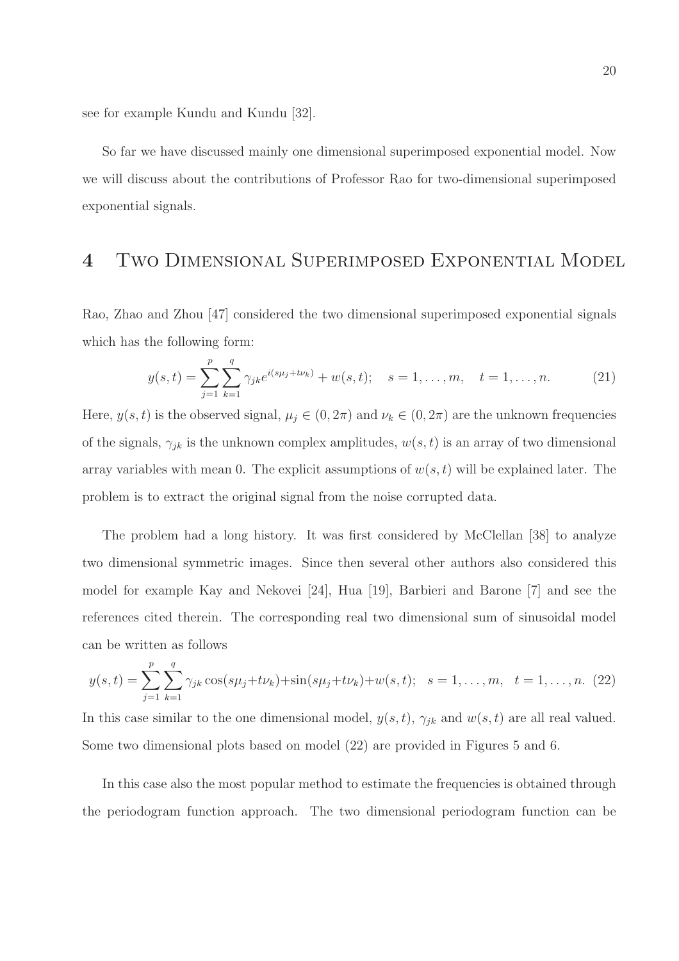see for example Kundu and Kundu [32].

So far we have discussed mainly one dimensional superimposed exponential model. Now we will discuss about the contributions of Professor Rao for two-dimensional superimposed exponential signals.

# 4 Two Dimensional Superimposed Exponential Model

Rao, Zhao and Zhou [47] considered the two dimensional superimposed exponential signals which has the following form:

$$
y(s,t) = \sum_{j=1}^{p} \sum_{k=1}^{q} \gamma_{jk} e^{i(s\mu_j + t\nu_k)} + w(s,t); \quad s = 1, \dots, m, \quad t = 1, \dots, n.
$$
 (21)

Here,  $y(s, t)$  is the observed signal,  $\mu_j \in (0, 2\pi)$  and  $\nu_k \in (0, 2\pi)$  are the unknown frequencies of the signals,  $\gamma_{jk}$  is the unknown complex amplitudes,  $w(s, t)$  is an array of two dimensional array variables with mean 0. The explicit assumptions of  $w(s, t)$  will be explained later. The problem is to extract the original signal from the noise corrupted data.

The problem had a long history. It was first considered by McClellan [38] to analyze two dimensional symmetric images. Since then several other authors also considered this model for example Kay and Nekovei [24], Hua [19], Barbieri and Barone [7] and see the references cited therein. The corresponding real two dimensional sum of sinusoidal model can be written as follows

$$
y(s,t) = \sum_{j=1}^{p} \sum_{k=1}^{q} \gamma_{jk} \cos(s\mu_j + t\nu_k) + \sin(s\mu_j + t\nu_k) + w(s,t); \quad s = 1, \dots, m, \quad t = 1, \dots, n. \tag{22}
$$

In this case similar to the one dimensional model,  $y(s, t)$ ,  $\gamma_{jk}$  and  $w(s, t)$  are all real valued. Some two dimensional plots based on model (22) are provided in Figures 5 and 6.

In this case also the most popular method to estimate the frequencies is obtained through the periodogram function approach. The two dimensional periodogram function can be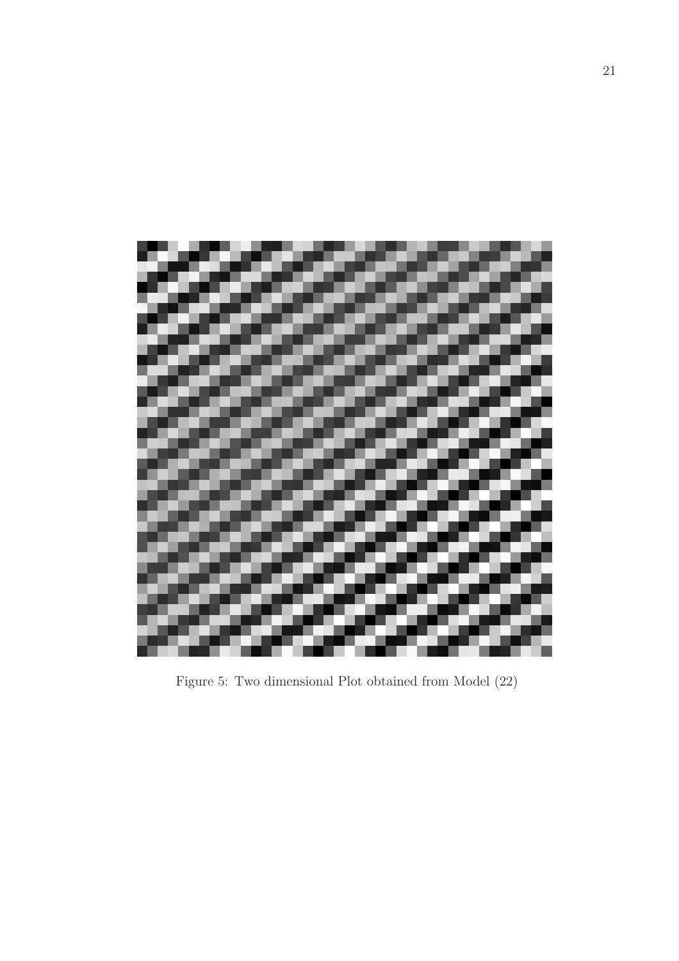

Figure 5: Two dimensional Plot obtained from Model (22)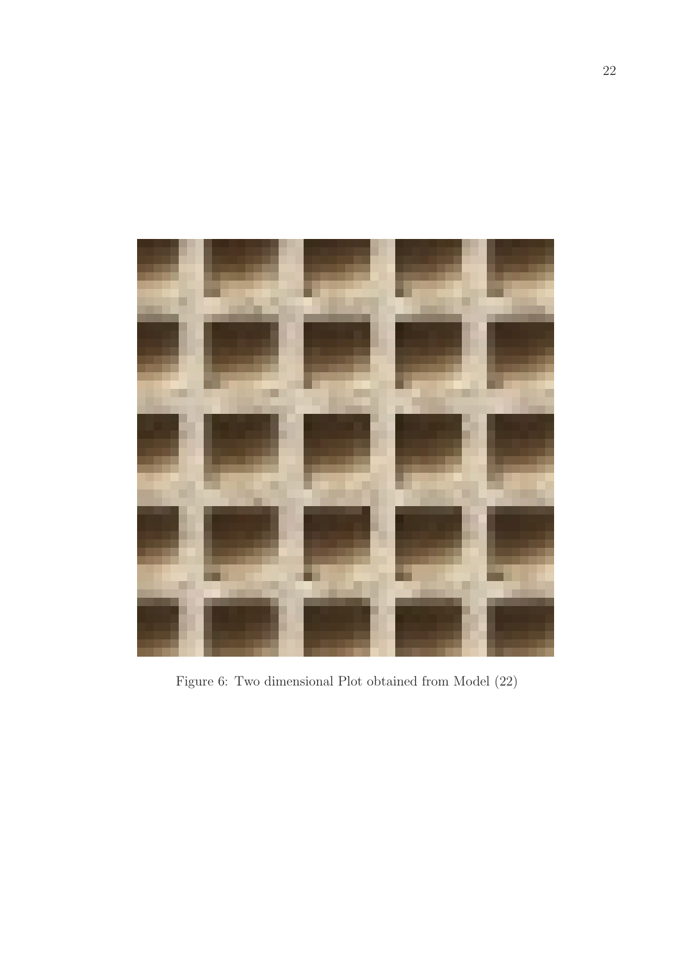

Figure 6: Two dimensional Plot obtained from Model (22)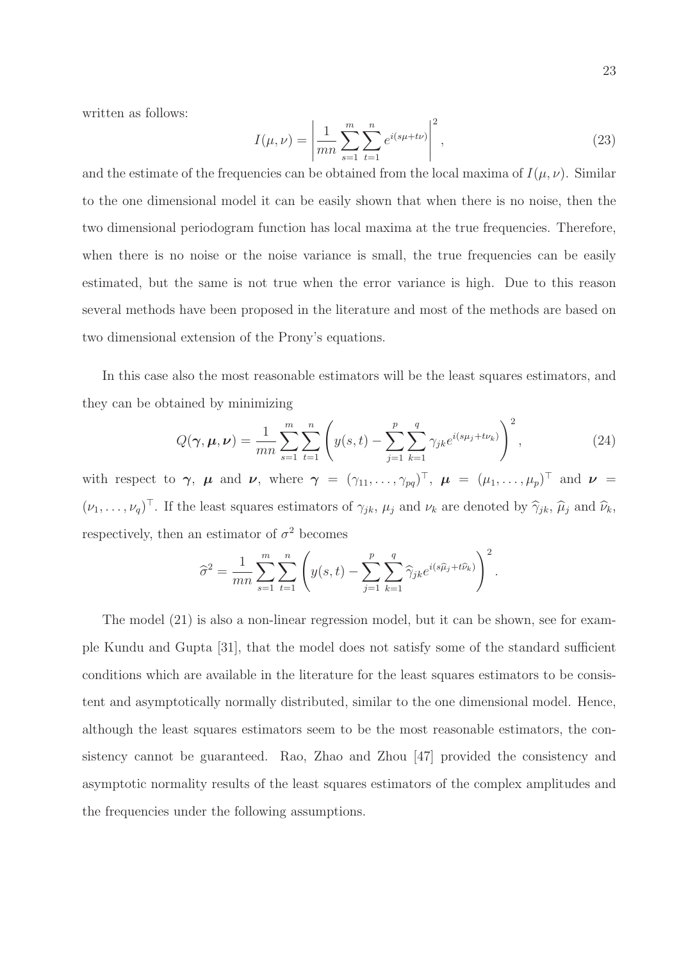written as follows:

$$
I(\mu, \nu) = \left| \frac{1}{mn} \sum_{s=1}^{m} \sum_{t=1}^{n} e^{i(s\mu + t\nu)} \right|^2,
$$
\n(23)

and the estimate of the frequencies can be obtained from the local maxima of  $I(\mu, \nu)$ . Similar to the one dimensional model it can be easily shown that when there is no noise, then the two dimensional periodogram function has local maxima at the true frequencies. Therefore, when there is no noise or the noise variance is small, the true frequencies can be easily estimated, but the same is not true when the error variance is high. Due to this reason several methods have been proposed in the literature and most of the methods are based on two dimensional extension of the Prony's equations.

In this case also the most reasonable estimators will be the least squares estimators, and they can be obtained by minimizing

$$
Q(\gamma, \mu, \nu) = \frac{1}{mn} \sum_{s=1}^{m} \sum_{t=1}^{n} \left( y(s, t) - \sum_{j=1}^{p} \sum_{k=1}^{q} \gamma_{jk} e^{i(s\mu_j + t\nu_k)} \right)^2,
$$
 (24)

with respect to  $\gamma$ ,  $\mu$  and  $\nu$ , where  $\gamma = (\gamma_{11}, \ldots, \gamma_{pq})^{\top}$ ,  $\mu = (\mu_1, \ldots, \mu_p)^{\top}$  and  $\nu =$  $(\nu_1, \ldots, \nu_q)^\top$ . If the least squares estimators of  $\gamma_{jk}$ ,  $\mu_j$  and  $\nu_k$  are denoted by  $\widehat{\gamma}_{jk}$ ,  $\widehat{\mu}_j$  and  $\widehat{\nu}_k$ , respectively, then an estimator of  $\sigma^2$  becomes

$$
\widehat{\sigma}^2 = \frac{1}{mn} \sum_{s=1}^m \sum_{t=1}^n \left( y(s, t) - \sum_{j=1}^p \sum_{k=1}^q \widehat{\gamma}_{jk} e^{i(s\widehat{\mu}_j + t\widehat{\nu}_k)} \right)^2.
$$

The model (21) is also a non-linear regression model, but it can be shown, see for example Kundu and Gupta [31], that the model does not satisfy some of the standard sufficient conditions which are available in the literature for the least squares estimators to be consistent and asymptotically normally distributed, similar to the one dimensional model. Hence, although the least squares estimators seem to be the most reasonable estimators, the consistency cannot be guaranteed. Rao, Zhao and Zhou [47] provided the consistency and asymptotic normality results of the least squares estimators of the complex amplitudes and the frequencies under the following assumptions.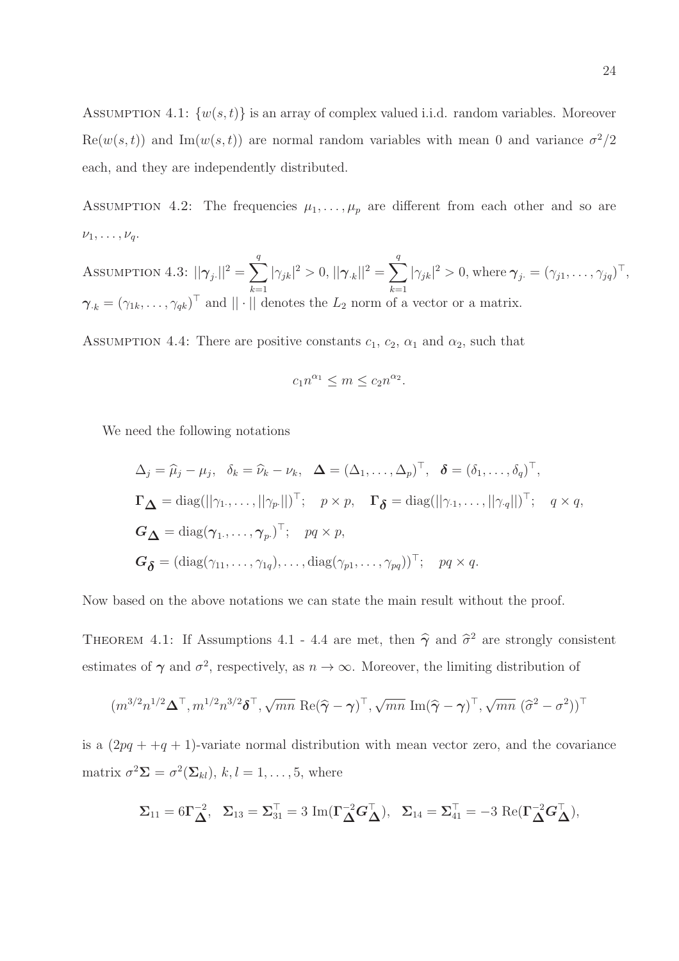ASSUMPTION 4.1:  $\{w(s,t)\}\$ is an array of complex valued i.i.d. random variables. Moreover  $\text{Re}(w(s,t))$  and  $\text{Im}(w(s,t))$  are normal random variables with mean 0 and variance  $\sigma^2/2$ each, and they are independently distributed.

ASSUMPTION 4.2: The frequencies  $\mu_1, \ldots, \mu_p$  are different from each other and so are  $\nu_1, \ldots, \nu_q.$ 

Assumption 4.3:  $||\boldsymbol{\gamma}_j_{\cdot}||^2 = \sum^q$  $k=1$   $k=1$  $|\gamma_{jk}|^2 > 0, ||\gamma_{.k}||^2 = \sum^q$  $|\gamma_{jk}|^2 > 0$ , where  $\boldsymbol{\gamma}_j = (\gamma_{j1}, \dots, \gamma_{jq})^\top$ ,  $\boldsymbol{\gamma}_{\cdot k} = (\gamma_{1k}, \ldots, \gamma_{qk})^{\top}$  and  $||\cdot||$  denotes the  $L_2$  norm of a vector or a matrix.

ASSUMPTION 4.4: There are positive constants  $c_1$ ,  $c_2$ ,  $\alpha_1$  and  $\alpha_2$ , such that

$$
c_1 n^{\alpha_1} \le m \le c_2 n^{\alpha_2}.
$$

We need the following notations

$$
\Delta_j = \widehat{\mu}_j - \mu_j, \quad \delta_k = \widehat{\nu}_k - \nu_k, \quad \Delta = (\Delta_1, \dots, \Delta_p)^\top, \quad \delta = (\delta_1, \dots, \delta_q)^\top,
$$
  

$$
\Gamma_{\Delta} = \text{diag}(\|\gamma_1, \dots, \|\gamma_p\|)^\top; \quad p \times p, \quad \Gamma_{\delta} = \text{diag}(\|\gamma_1, \dots, \|\gamma_q\|)^\top; \quad q \times q,
$$
  

$$
G_{\Delta} = \text{diag}(\gamma_1, \dots, \gamma_p)^\top; \quad pq \times p,
$$
  

$$
G_{\delta} = (\text{diag}(\gamma_{11}, \dots, \gamma_{1q}), \dots, \text{diag}(\gamma_{p1}, \dots, \gamma_{pq}))^\top; \quad pq \times q.
$$

Now based on the above notations we can state the main result without the proof.

THEOREM 4.1: If Assumptions 4.1 - 4.4 are met, then  $\hat{\gamma}$  and  $\hat{\sigma}^2$  are strongly consistent estimates of  $\gamma$  and  $\sigma^2$ , respectively, as  $n \to \infty$ . Moreover, the limiting distribution of

$$
(m^{3/2}n^{1/2}\boldsymbol{\Delta}^\top,m^{1/2}n^{3/2}\boldsymbol{\delta}^\top,\sqrt{mn}\,\operatorname{Re}(\widehat{\boldsymbol{\gamma}}-\boldsymbol{\gamma})^\top,\sqrt{mn}\,\operatorname{Im}(\widehat{\boldsymbol{\gamma}}-\boldsymbol{\gamma})^\top,\sqrt{mn}\,\,(\widehat{\sigma}^2-\sigma^2))^\top
$$

is a  $(2pq + +q + 1)$ -variate normal distribution with mean vector zero, and the covariance matrix  $\sigma^2 \mathbf{\Sigma} = \sigma^2(\mathbf{\Sigma}_{kl}), k, l = 1, \dots, 5$ , where

$$
\boldsymbol{\Sigma}_{11} = 6\boldsymbol{\Gamma}_{\boldsymbol{\Delta}}^{-2},~~\boldsymbol{\Sigma}_{13} = \boldsymbol{\Sigma}_{31}^\top = 3~\mathrm{Im}(\boldsymbol{\Gamma}_{\boldsymbol{\Delta}}^{-2}\boldsymbol{G}_{\boldsymbol{\Delta}}^\top),~~\boldsymbol{\Sigma}_{14} = \boldsymbol{\Sigma}_{41}^\top = -3~\mathrm{Re}(\boldsymbol{\Gamma}_{\boldsymbol{\Delta}}^{-2}\boldsymbol{G}_{\boldsymbol{\Delta}}^\top),
$$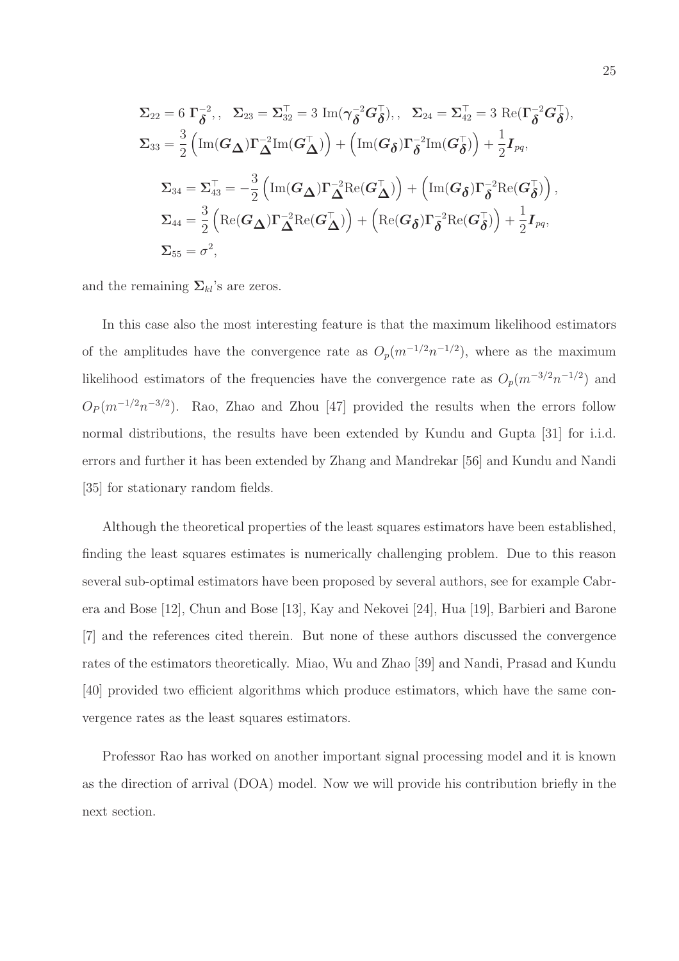$$
\Sigma_{22} = 6 \Gamma_{\delta}^{-2}, \quad \Sigma_{23} = \Sigma_{32}^{\top} = 3 \operatorname{Im}(\gamma_{\delta}^{-2} G_{\delta}^{\top}), \quad \Sigma_{24} = \Sigma_{42}^{\top} = 3 \operatorname{Re}(\Gamma_{\delta}^{-2} G_{\delta}^{\top}),
$$
\n
$$
\Sigma_{33} = \frac{3}{2} \left( \operatorname{Im}(G_{\Delta}) \Gamma_{\Delta}^{-2} \operatorname{Im}(G_{\Delta}^{\top}) \right) + \left( \operatorname{Im}(G_{\delta}) \Gamma_{\delta}^{-2} \operatorname{Im}(G_{\delta}^{\top}) \right) + \frac{1}{2} I_{pq},
$$
\n
$$
\Sigma_{34} = \Sigma_{43}^{\top} = -\frac{3}{2} \left( \operatorname{Im}(G_{\Delta}) \Gamma_{\Delta}^{-2} \operatorname{Re}(G_{\Delta}^{\top}) \right) + \left( \operatorname{Im}(G_{\delta}) \Gamma_{\delta}^{-2} \operatorname{Re}(G_{\delta}^{\top}) \right),
$$
\n
$$
\Sigma_{44} = \frac{3}{2} \left( \operatorname{Re}(G_{\Delta}) \Gamma_{\Delta}^{-2} \operatorname{Re}(G_{\Delta}^{\top}) \right) + \left( \operatorname{Re}(G_{\delta}) \Gamma_{\delta}^{-2} \operatorname{Re}(G_{\delta}^{\top}) \right) + \frac{1}{2} I_{pq},
$$
\n
$$
\Sigma_{55} = \sigma^2,
$$

and the remaining  $\Sigma_{kl}$ 's are zeros.

In this case also the most interesting feature is that the maximum likelihood estimators of the amplitudes have the convergence rate as  $O_p(m^{-1/2}n^{-1/2})$ , where as the maximum likelihood estimators of the frequencies have the convergence rate as  $O_p(m^{-3/2}n^{-1/2})$  and  $O_P(m^{-1/2}n^{-3/2})$ . Rao, Zhao and Zhou [47] provided the results when the errors follow normal distributions, the results have been extended by Kundu and Gupta [31] for i.i.d. errors and further it has been extended by Zhang and Mandrekar [56] and Kundu and Nandi [35] for stationary random fields.

Although the theoretical properties of the least squares estimators have been established, finding the least squares estimates is numerically challenging problem. Due to this reason several sub-optimal estimators have been proposed by several authors, see for example Cabrera and Bose [12], Chun and Bose [13], Kay and Nekovei [24], Hua [19], Barbieri and Barone [7] and the references cited therein. But none of these authors discussed the convergence rates of the estimators theoretically. Miao, Wu and Zhao [39] and Nandi, Prasad and Kundu [40] provided two efficient algorithms which produce estimators, which have the same convergence rates as the least squares estimators.

Professor Rao has worked on another important signal processing model and it is known as the direction of arrival (DOA) model. Now we will provide his contribution briefly in the next section.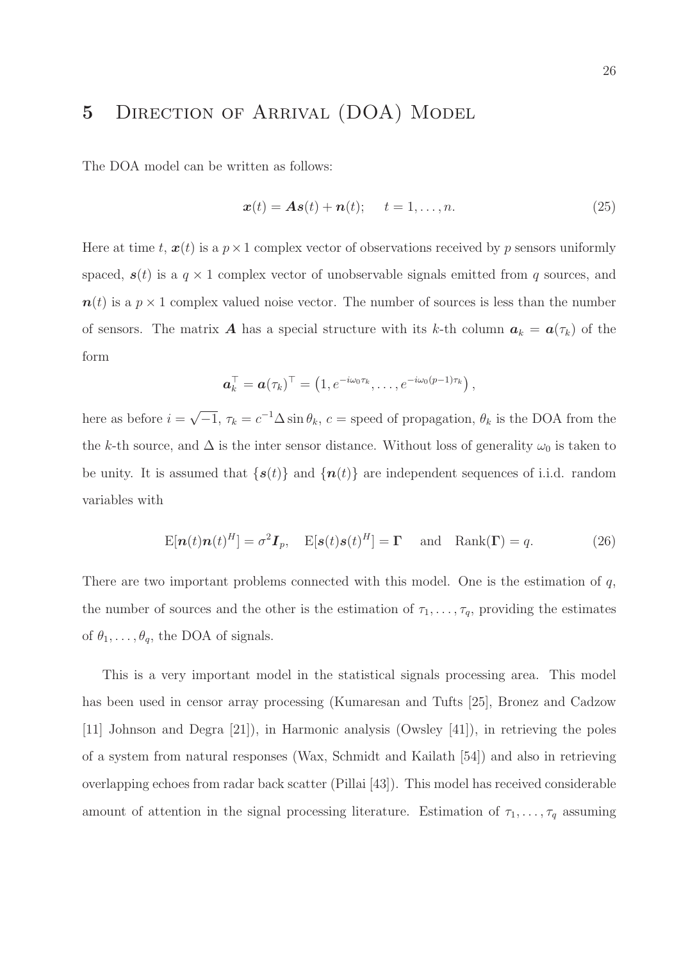# 5 DIRECTION OF ARRIVAL (DOA) MODEL

The DOA model can be written as follows:

$$
\boldsymbol{x}(t) = \boldsymbol{A}\boldsymbol{s}(t) + \boldsymbol{n}(t); \quad t = 1, \dots, n. \tag{25}
$$

Here at time t,  $x(t)$  is a  $p \times 1$  complex vector of observations received by p sensors uniformly spaced,  $s(t)$  is a  $q \times 1$  complex vector of unobservable signals emitted from q sources, and  $n(t)$  is a  $p \times 1$  complex valued noise vector. The number of sources is less than the number of sensors. The matrix **A** has a special structure with its k-th column  $a_k = a(\tau_k)$  of the form

$$
\boldsymbol{a}_k^{\top} = \boldsymbol{a}(\tau_k)^{\top} = \left(1, e^{-i\omega_0 \tau_k}, \ldots, e^{-i\omega_0 (p-1)\tau_k}\right),
$$

here as before  $i = \sqrt{-1}$ ,  $\tau_k = c^{-1} \Delta \sin \theta_k$ ,  $c =$  speed of propagation,  $\theta_k$  is the DOA from the the k-th source, and  $\Delta$  is the inter sensor distance. Without loss of generality  $\omega_0$  is taken to be unity. It is assumed that  $\{s(t)\}\$ and  $\{n(t)\}\$ are independent sequences of i.i.d. random variables with

$$
E[\boldsymbol{n}(t)\boldsymbol{n}(t)^H] = \sigma^2 \boldsymbol{I}_p, \quad E[\boldsymbol{s}(t)\boldsymbol{s}(t)^H] = \boldsymbol{\Gamma} \quad \text{and} \quad \text{Rank}(\boldsymbol{\Gamma}) = q. \tag{26}
$$

There are two important problems connected with this model. One is the estimation of  $q$ , the number of sources and the other is the estimation of  $\tau_1, \ldots, \tau_q$ , providing the estimates of  $\theta_1, \ldots, \theta_q$ , the DOA of signals.

This is a very important model in the statistical signals processing area. This model has been used in censor array processing (Kumaresan and Tufts [25], Bronez and Cadzow [11] Johnson and Degra [21]), in Harmonic analysis (Owsley [41]), in retrieving the poles of a system from natural responses (Wax, Schmidt and Kailath [54]) and also in retrieving overlapping echoes from radar back scatter (Pillai [43]). This model has received considerable amount of attention in the signal processing literature. Estimation of  $\tau_1, \ldots, \tau_q$  assuming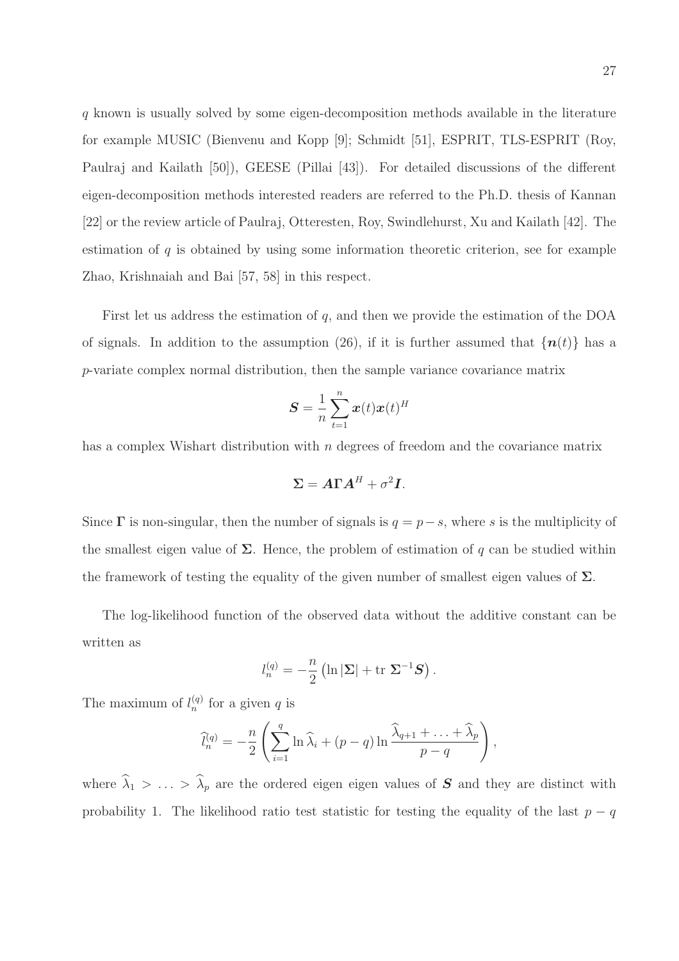q known is usually solved by some eigen-decomposition methods available in the literature for example MUSIC (Bienvenu and Kopp [9]; Schmidt [51], ESPRIT, TLS-ESPRIT (Roy, Paulraj and Kailath [50]), GEESE (Pillai [43]). For detailed discussions of the different eigen-decomposition methods interested readers are referred to the Ph.D. thesis of Kannan [22] or the review article of Paulraj, Otteresten, Roy, Swindlehurst, Xu and Kailath [42]. The estimation of  $q$  is obtained by using some information theoretic criterion, see for example Zhao, Krishnaiah and Bai [57, 58] in this respect.

First let us address the estimation of  $q$ , and then we provide the estimation of the DOA of signals. In addition to the assumption (26), if it is further assumed that  $\{n(t)\}\$ has a p-variate complex normal distribution, then the sample variance covariance matrix

$$
\boldsymbol{S} = \frac{1}{n} \sum_{t=1}^{n} \boldsymbol{x}(t) \boldsymbol{x}(t)^{H}
$$

has a complex Wishart distribution with n degrees of freedom and the covariance matrix

$$
\Sigma = A\Gamma A^H + \sigma^2 I.
$$

Since  $\Gamma$  is non-singular, then the number of signals is  $q = p - s$ , where s is the multiplicity of the smallest eigen value of  $\Sigma$ . Hence, the problem of estimation of q can be studied within the framework of testing the equality of the given number of smallest eigen values of  $\Sigma$ .

The log-likelihood function of the observed data without the additive constant can be written as

$$
l_n^{(q)} = -\frac{n}{2} \left( \ln |\Sigma| + \text{tr} \ \Sigma^{-1} \mathbf{S} \right).
$$

The maximum of  $l_n^{(q)}$  for a given q is

$$
\widehat{l}_n^{(q)} = -\frac{n}{2} \left( \sum_{i=1}^q \ln \widehat{\lambda}_i + (p-q) \ln \frac{\widehat{\lambda}_{q+1} + \ldots + \widehat{\lambda}_p}{p-q} \right),
$$

where  $\hat{\lambda}_1 > \ldots > \hat{\lambda}_p$  are the ordered eigen eigen values of S and they are distinct with probability 1. The likelihood ratio test statistic for testing the equality of the last  $p - q$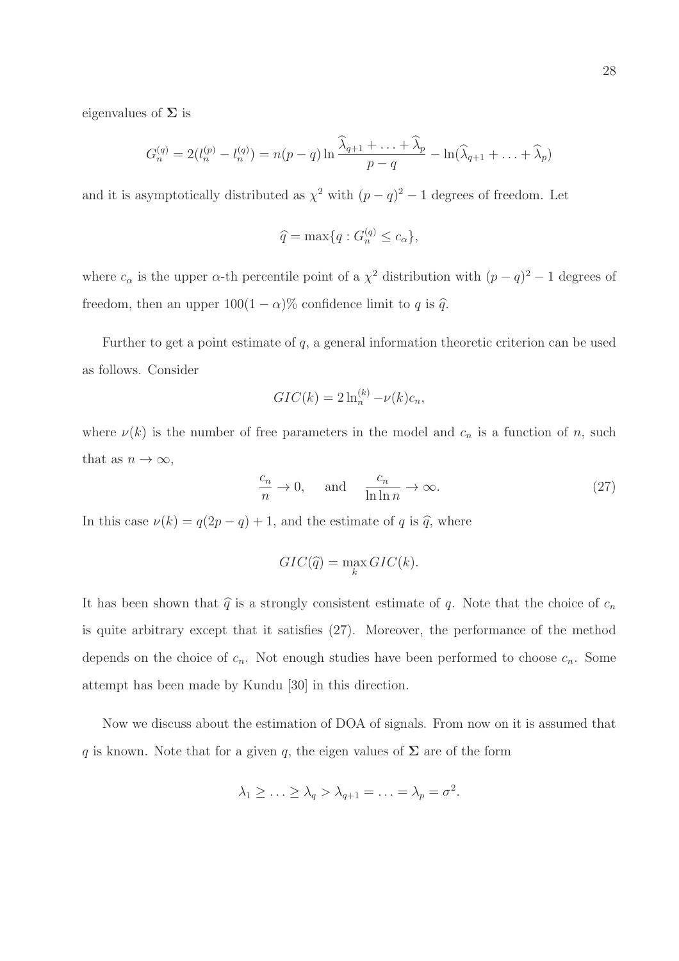eigenvalues of  $\Sigma$  is

$$
G_n^{(q)} = 2(l_n^{(p)} - l_n^{(q)}) = n(p-q)\ln\frac{\widehat{\lambda}_{q+1} + \ldots + \widehat{\lambda}_p}{p-q} - \ln(\widehat{\lambda}_{q+1} + \ldots + \widehat{\lambda}_p)
$$

and it is asymptotically distributed as  $\chi^2$  with  $(p-q)^2-1$  degrees of freedom. Let

$$
\widehat{q} = \max\{q : G_n^{(q)} \le c_\alpha\},\
$$

where  $c_{\alpha}$  is the upper  $\alpha$ -th percentile point of a  $\chi^2$  distribution with  $(p-q)^2-1$  degrees of freedom, then an upper  $100(1 - \alpha)\%$  confidence limit to q is  $\hat{q}$ .

Further to get a point estimate of  $q$ , a general information theoretic criterion can be used as follows. Consider

$$
GIC(k) = 2\ln_n^{(k)} - \nu(k)c_n,
$$

where  $\nu(k)$  is the number of free parameters in the model and  $c_n$  is a function of n, such that as  $n \to \infty$ ,

$$
\frac{c_n}{n} \to 0, \quad \text{and} \quad \frac{c_n}{\ln \ln n} \to \infty.
$$
 (27)

In this case  $\nu(k) = q(2p - q) + 1$ , and the estimate of q is  $\hat{q}$ , where

$$
GIC(\hat{q}) = \max_{k} GIC(k).
$$

It has been shown that  $\hat{q}$  is a strongly consistent estimate of q. Note that the choice of  $c_n$ is quite arbitrary except that it satisfies (27). Moreover, the performance of the method depends on the choice of  $c_n$ . Not enough studies have been performed to choose  $c_n$ . Some attempt has been made by Kundu [30] in this direction.

Now we discuss about the estimation of DOA of signals. From now on it is assumed that q is known. Note that for a given q, the eigen values of  $\Sigma$  are of the form

$$
\lambda_1 \geq \ldots \geq \lambda_q > \lambda_{q+1} = \ldots = \lambda_p = \sigma^2.
$$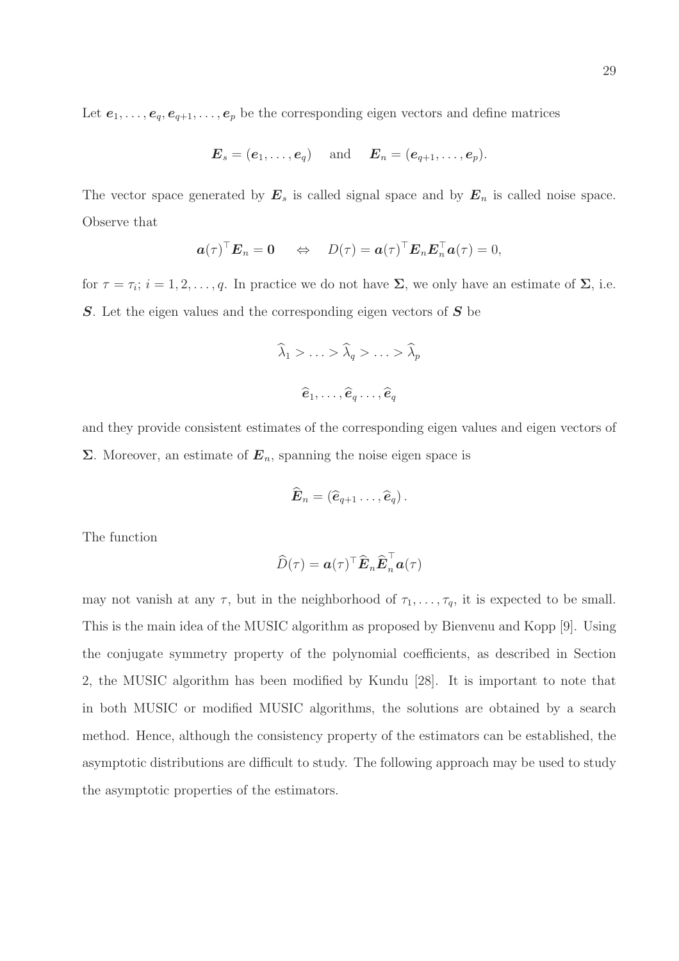Let  $e_1, \ldots, e_q, e_{q+1}, \ldots, e_p$  be the corresponding eigen vectors and define matrices

$$
\boldsymbol{E}_s = (\boldsymbol{e}_1, \ldots, \boldsymbol{e}_q) \quad \text{ and } \quad \boldsymbol{E}_n = (\boldsymbol{e}_{q+1}, \ldots, \boldsymbol{e}_p).
$$

The vector space generated by  $E_s$  is called signal space and by  $E_n$  is called noise space. Observe that

$$
\boldsymbol{a}(\tau)^{\top}\boldsymbol{E}_n = \mathbf{0} \Leftrightarrow D(\tau) = \boldsymbol{a}(\tau)^{\top}\boldsymbol{E}_n\boldsymbol{E}_n^{\top}\boldsymbol{a}(\tau) = 0,
$$

for  $\tau = \tau_i$ ;  $i = 1, 2, \ldots, q$ . In practice we do not have  $\Sigma$ , we only have an estimate of  $\Sigma$ , i.e.  $S$ . Let the eigen values and the corresponding eigen vectors of  $S$  be

$$
\widehat{\lambda}_1 > \ldots > \widehat{\lambda}_q > \ldots > \widehat{\lambda}_p
$$

$$
\widehat{e}_1, \ldots, \widehat{e}_q \ldots, \widehat{e}_q
$$

and they provide consistent estimates of the corresponding eigen values and eigen vectors of  $\Sigma$ . Moreover, an estimate of  $E_n$ , spanning the noise eigen space is

$$
\widehat{\boldsymbol{E}}_n = (\widehat{\boldsymbol{e}}_{q+1} \dots, \widehat{\boldsymbol{e}}_q).
$$

The function

$$
\widehat{D}(\tau) = \boldsymbol{a}(\tau)^{\top} \widehat{\boldsymbol{E}}_n \widehat{\boldsymbol{E}}_n^{\top} \boldsymbol{a}(\tau)
$$

may not vanish at any  $\tau$ , but in the neighborhood of  $\tau_1, \ldots, \tau_q$ , it is expected to be small. This is the main idea of the MUSIC algorithm as proposed by Bienvenu and Kopp [9]. Using the conjugate symmetry property of the polynomial coefficients, as described in Section 2, the MUSIC algorithm has been modified by Kundu [28]. It is important to note that in both MUSIC or modified MUSIC algorithms, the solutions are obtained by a search method. Hence, although the consistency property of the estimators can be established, the asymptotic distributions are difficult to study. The following approach may be used to study the asymptotic properties of the estimators.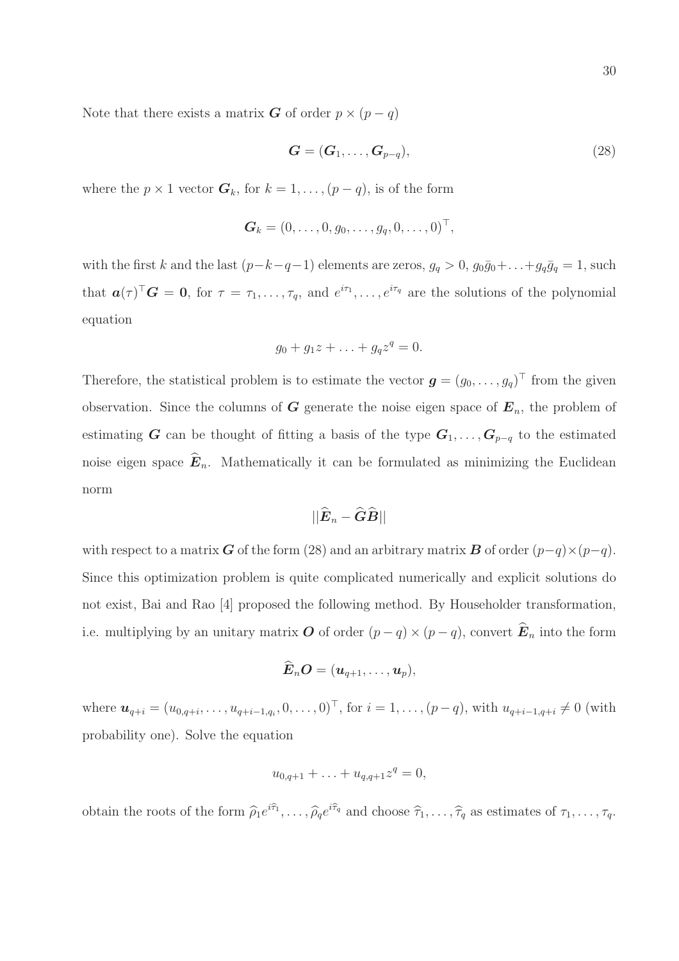Note that there exists a matrix **G** of order  $p \times (p - q)$ 

$$
\mathbf{G} = (\mathbf{G}_1, \dots, \mathbf{G}_{p-q}),\tag{28}
$$

where the  $p \times 1$  vector  $G_k$ , for  $k = 1, \ldots, (p - q)$ , is of the form

$$
\boldsymbol{G}_k = (0,\ldots,0,g_0,\ldots,g_q,0,\ldots,0)^\top,
$$

with the first k and the last  $(p-k-q-1)$  elements are zeros,  $g_q > 0$ ,  $g_0\bar{g}_0 + \ldots + g_q\bar{g}_q = 1$ , such that  $a(\tau)^{\top}G = 0$ , for  $\tau = \tau_1, \ldots, \tau_q$ , and  $e^{i\tau_1}, \ldots, e^{i\tau_q}$  are the solutions of the polynomial equation

$$
g_0+g_1z+\ldots+g_qz^q=0.
$$

Therefore, the statistical problem is to estimate the vector  $\boldsymbol{g} = (g_0, \ldots, g_q)^\top$  from the given observation. Since the columns of G generate the noise eigen space of  $E_n$ , the problem of estimating G can be thought of fitting a basis of the type  $G_1, \ldots, G_{p-q}$  to the estimated noise eigen space  $\widehat{E}_n$ . Mathematically it can be formulated as minimizing the Euclidean norm

$$
||\widehat{\boldsymbol{E}}_n-\widehat{\boldsymbol{G}}\widehat{\boldsymbol{B}}||
$$

with respect to a matrix **G** of the form (28) and an arbitrary matrix **B** of order  $(p-q) \times (p-q)$ . Since this optimization problem is quite complicated numerically and explicit solutions do not exist, Bai and Rao [4] proposed the following method. By Householder transformation, i.e. multiplying by an unitary matrix O of order  $(p - q) \times (p - q)$ , convert  $\hat{E}_n$  into the form

$$
\hat{\boldsymbol{E}}_n\boldsymbol{O}=(\boldsymbol{u}_{q+1},\ldots,\boldsymbol{u}_{p}),
$$

where  $u_{q+i} = (u_{0,q+i}, \ldots, u_{q+i-1,q_i}, 0, \ldots, 0)^\top$ , for  $i = 1, \ldots, (p-q)$ , with  $u_{q+i-1,q+i} \neq 0$  (with probability one). Solve the equation

$$
u_{0,q+1} + \ldots + u_{q,q+1} z^q = 0,
$$

obtain the roots of the form  $\hat{\rho}_1 e^{i\hat{\tau}_1}, \dots, \hat{\rho}_q e^{i\hat{\tau}_q}$  and choose  $\hat{\tau}_1, \dots, \hat{\tau}_q$  as estimates of  $\tau_1, \dots, \tau_q$ .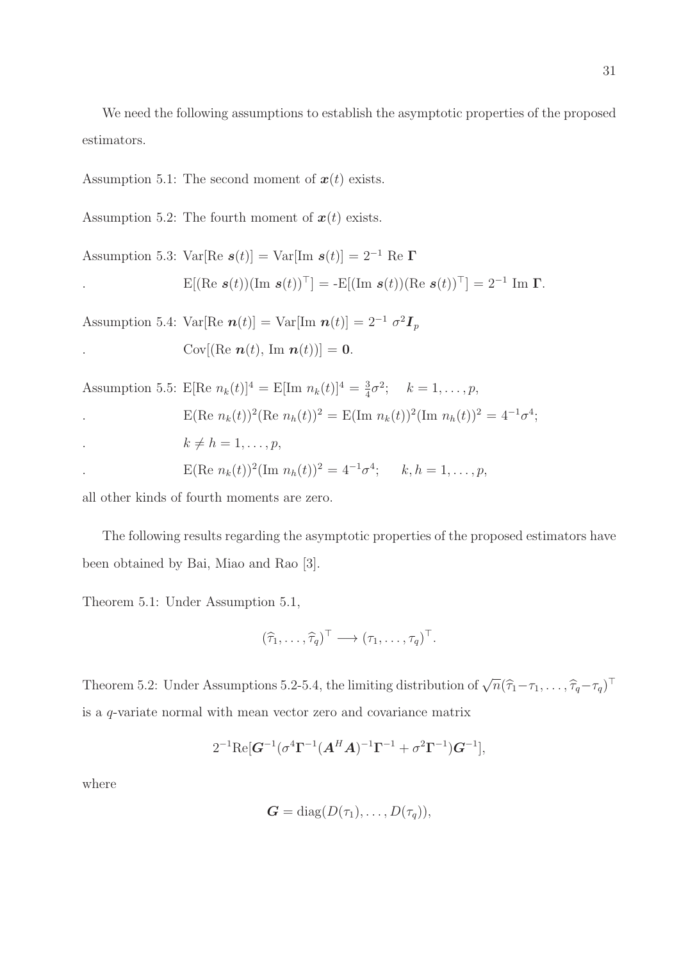We need the following assumptions to establish the asymptotic properties of the proposed estimators.

Assumption 5.1: The second moment of  $x(t)$  exists.

Assumption 5.2: The fourth moment of  $x(t)$  exists.

Assumption 5.3: 
$$
\text{Var}[\text{Re } \mathbf{s}(t)] = \text{Var}[\text{Im } \mathbf{s}(t)] = 2^{-1} \text{ Re } \mathbf{\Gamma}
$$
  
.  
  $E[(\text{Re } \mathbf{s}(t))(\text{Im } \mathbf{s}(t))^{\top}] = -E[(\text{Im } \mathbf{s}(t))(\text{Re } \mathbf{s}(t))^{\top}] = 2^{-1} \text{ Im } \mathbf{\Gamma}.$ 

Assumption 5.4: Var[Re  $\boldsymbol{n}(t)$ ] = Var[Im  $\boldsymbol{n}(t)$ ] =  $2^{-1} \sigma^2 \boldsymbol{I}_p$ Cov[(Re  $\boldsymbol{n}(t)$ , Im  $\boldsymbol{n}(t)$ )] = 0.

Assumption 5.5: 
$$
E[\text{Re } n_k(t)]^4 = E[\text{Im } n_k(t)]^4 = \frac{3}{4}\sigma^2
$$
;  $k = 1, ..., p$ ,  
\n
$$
E(\text{Re } n_k(t))^2 (\text{Re } n_k(t))^2 = E(\text{Im } n_k(t))^2 (\text{Im } n_k(t))^2 = 4^{-1}\sigma^4
$$
\n
$$
k \neq h = 1, ..., p,
$$
\n
$$
E(\text{Re } n_k(t))^2 (\text{Im } n_k(t))^2 = 4^{-1}\sigma^4; \quad k, h = 1, ..., p,
$$

all other kinds of fourth moments are zero.

The following results regarding the asymptotic properties of the proposed estimators have been obtained by Bai, Miao and Rao [3].

Theorem 5.1: Under Assumption 5.1,

$$
(\widehat{\tau}_1,\ldots,\widehat{\tau}_q)^{\top}\longrightarrow(\tau_1,\ldots,\tau_q)^{\top}.
$$

Theorem 5.2: Under Assumptions 5.2-5.4, the limiting distribution of  $\sqrt{n}(\hat{\tau}_1-\tau_1,\ldots,\hat{\tau}_q-\tau_q)^\top$ is a q-variate normal with mean vector zero and covariance matrix

$$
2^{-1} \text{Re}[\mathbf{G}^{-1} (\sigma^4 \Gamma^{-1} (\mathbf{A}^H \mathbf{A})^{-1} \Gamma^{-1} + \sigma^2 \Gamma^{-1}) \mathbf{G}^{-1}],
$$

where

$$
G = \mathrm{diag}(D(\tau_1),\ldots,D(\tau_q)),
$$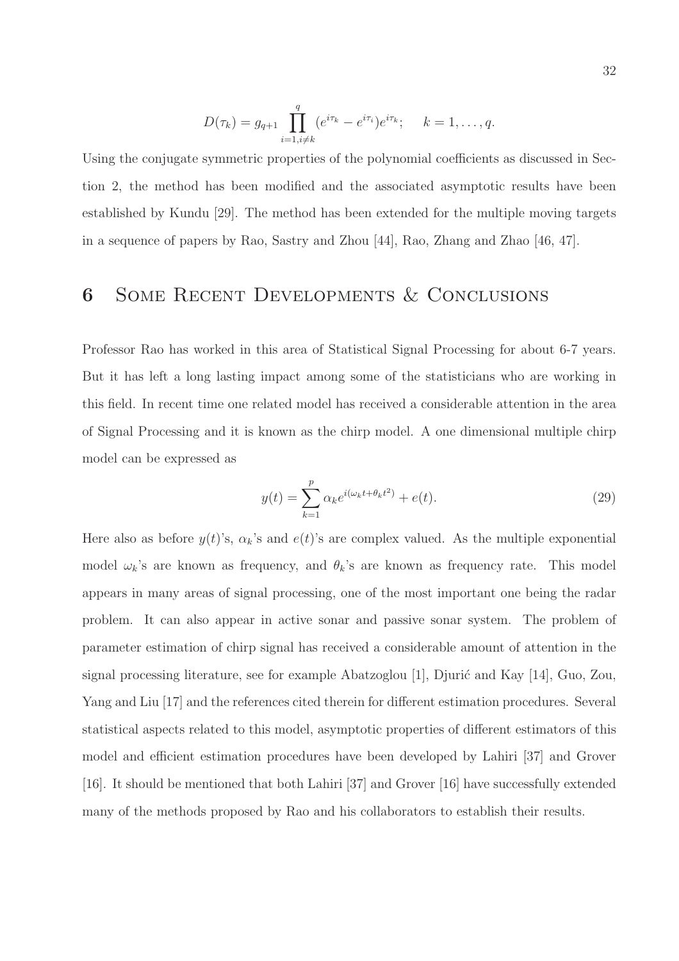$$
D(\tau_k) = g_{q+1} \prod_{i=1, i \neq k}^{q} (e^{i\tau_k} - e^{i\tau_i}) e^{i\tau_k}; \quad k = 1, \dots, q.
$$

Using the conjugate symmetric properties of the polynomial coefficients as discussed in Section 2, the method has been modified and the associated asymptotic results have been established by Kundu [29]. The method has been extended for the multiple moving targets in a sequence of papers by Rao, Sastry and Zhou [44], Rao, Zhang and Zhao [46, 47].

## 6 Some Recent Developments & Conclusions

Professor Rao has worked in this area of Statistical Signal Processing for about 6-7 years. But it has left a long lasting impact among some of the statisticians who are working in this field. In recent time one related model has received a considerable attention in the area of Signal Processing and it is known as the chirp model. A one dimensional multiple chirp model can be expressed as

$$
y(t) = \sum_{k=1}^{p} \alpha_k e^{i(\omega_k t + \theta_k t^2)} + e(t).
$$
 (29)

Here also as before  $y(t)$ 's,  $\alpha_k$ 's and  $e(t)$ 's are complex valued. As the multiple exponential model  $\omega_k$ 's are known as frequency, and  $\theta_k$ 's are known as frequency rate. This model appears in many areas of signal processing, one of the most important one being the radar problem. It can also appear in active sonar and passive sonar system. The problem of parameter estimation of chirp signal has received a considerable amount of attention in the signal processing literature, see for example Abatzoglou [1], Djurić and Kay  $[14]$ , Guo, Zou, Yang and Liu [17] and the references cited therein for different estimation procedures. Several statistical aspects related to this model, asymptotic properties of different estimators of this model and efficient estimation procedures have been developed by Lahiri [37] and Grover [16]. It should be mentioned that both Lahiri [37] and Grover [16] have successfully extended many of the methods proposed by Rao and his collaborators to establish their results.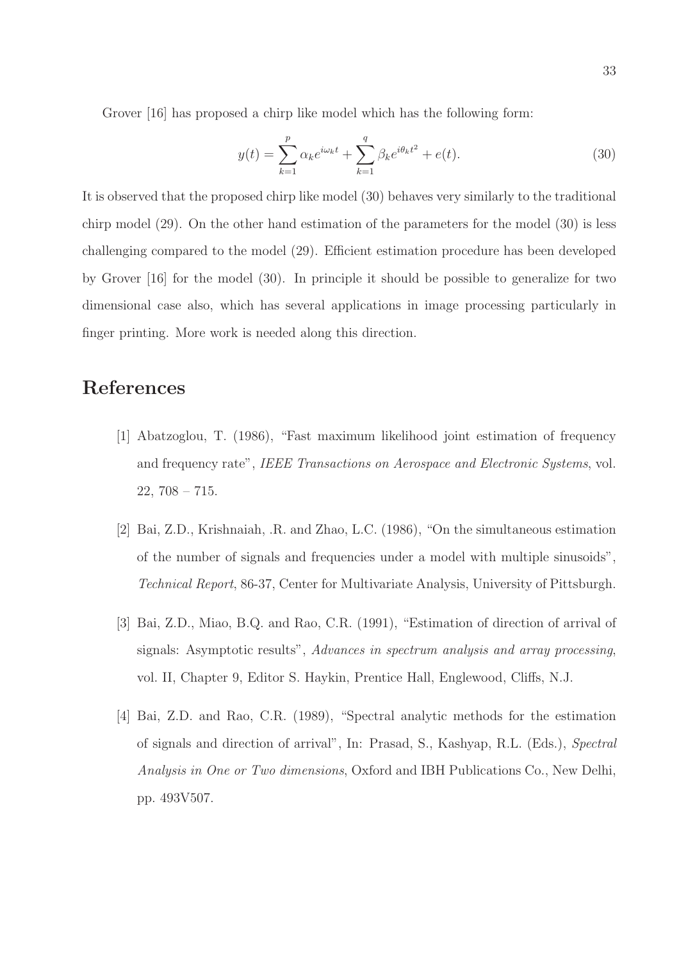Grover [16] has proposed a chirp like model which has the following form:

$$
y(t) = \sum_{k=1}^{p} \alpha_k e^{i\omega_k t} + \sum_{k=1}^{q} \beta_k e^{i\theta_k t^2} + e(t).
$$
 (30)

It is observed that the proposed chirp like model (30) behaves very similarly to the traditional chirp model (29). On the other hand estimation of the parameters for the model (30) is less challenging compared to the model (29). Efficient estimation procedure has been developed by Grover [16] for the model (30). In principle it should be possible to generalize for two dimensional case also, which has several applications in image processing particularly in finger printing. More work is needed along this direction.

# References

- [1] Abatzoglou, T. (1986), "Fast maximum likelihood joint estimation of frequency and frequency rate", IEEE Transactions on Aerospace and Electronic Systems, vol. 22, 708 – 715.
- [2] Bai, Z.D., Krishnaiah, .R. and Zhao, L.C. (1986), "On the simultaneous estimation of the number of signals and frequencies under a model with multiple sinusoids", Technical Report, 86-37, Center for Multivariate Analysis, University of Pittsburgh.
- [3] Bai, Z.D., Miao, B.Q. and Rao, C.R. (1991), "Estimation of direction of arrival of signals: Asymptotic results", Advances in spectrum analysis and array processing, vol. II, Chapter 9, Editor S. Haykin, Prentice Hall, Englewood, Cliffs, N.J.
- [4] Bai, Z.D. and Rao, C.R. (1989), "Spectral analytic methods for the estimation of signals and direction of arrival", In: Prasad, S., Kashyap, R.L. (Eds.), Spectral Analysis in One or Two dimensions, Oxford and IBH Publications Co., New Delhi, pp. 493V507.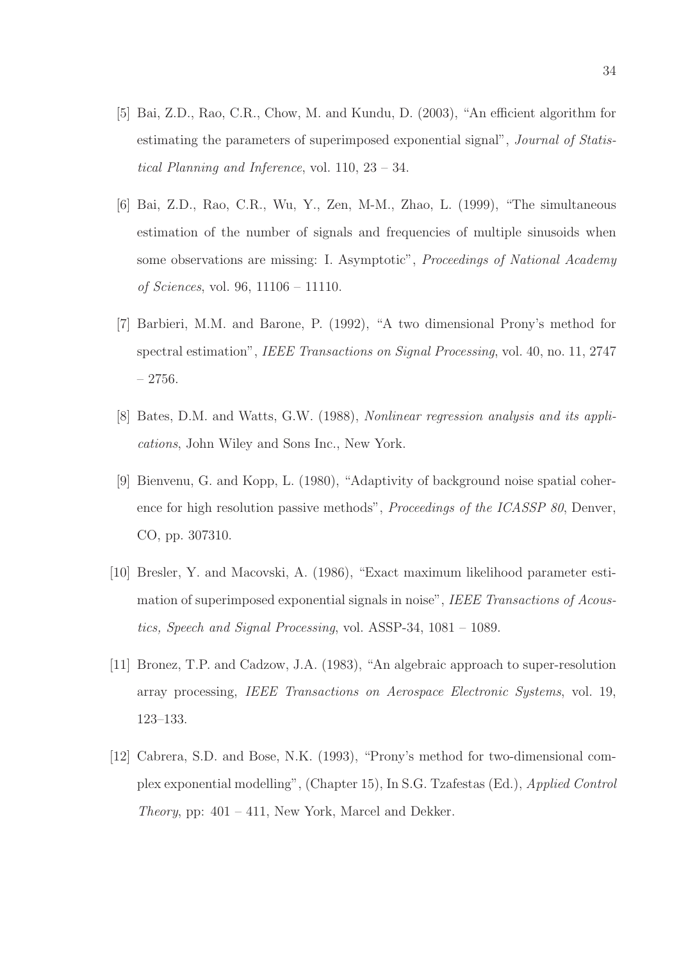- [5] Bai, Z.D., Rao, C.R., Chow, M. and Kundu, D. (2003), "An efficient algorithm for estimating the parameters of superimposed exponential signal", Journal of Statistical Planning and Inference, vol. 110, 23 – 34.
- [6] Bai, Z.D., Rao, C.R., Wu, Y., Zen, M-M., Zhao, L. (1999), "The simultaneous estimation of the number of signals and frequencies of multiple sinusoids when some observations are missing: I. Asymptotic", Proceedings of National Academy of Sciences, vol. 96, 11106 – 11110.
- [7] Barbieri, M.M. and Barone, P. (1992), "A two dimensional Prony's method for spectral estimation", IEEE Transactions on Signal Processing, vol. 40, no. 11, 2747 – 2756.
- [8] Bates, D.M. and Watts, G.W. (1988), Nonlinear regression analysis and its applications, John Wiley and Sons Inc., New York.
- [9] Bienvenu, G. and Kopp, L. (1980), "Adaptivity of background noise spatial coherence for high resolution passive methods", *Proceedings of the ICASSP 80*, Denver, CO, pp. 307310.
- [10] Bresler, Y. and Macovski, A. (1986), "Exact maximum likelihood parameter estimation of superimposed exponential signals in noise", IEEE Transactions of Acoustics, Speech and Signal Processing, vol. ASSP-34, 1081 – 1089.
- [11] Bronez, T.P. and Cadzow, J.A. (1983), "An algebraic approach to super-resolution array processing, IEEE Transactions on Aerospace Electronic Systems, vol. 19, 123–133.
- [12] Cabrera, S.D. and Bose, N.K. (1993), "Prony's method for two-dimensional complex exponential modelling", (Chapter 15), In S.G. Tzafestas (Ed.), Applied Control *Theory*, pp:  $401 - 411$ , New York, Marcel and Dekker.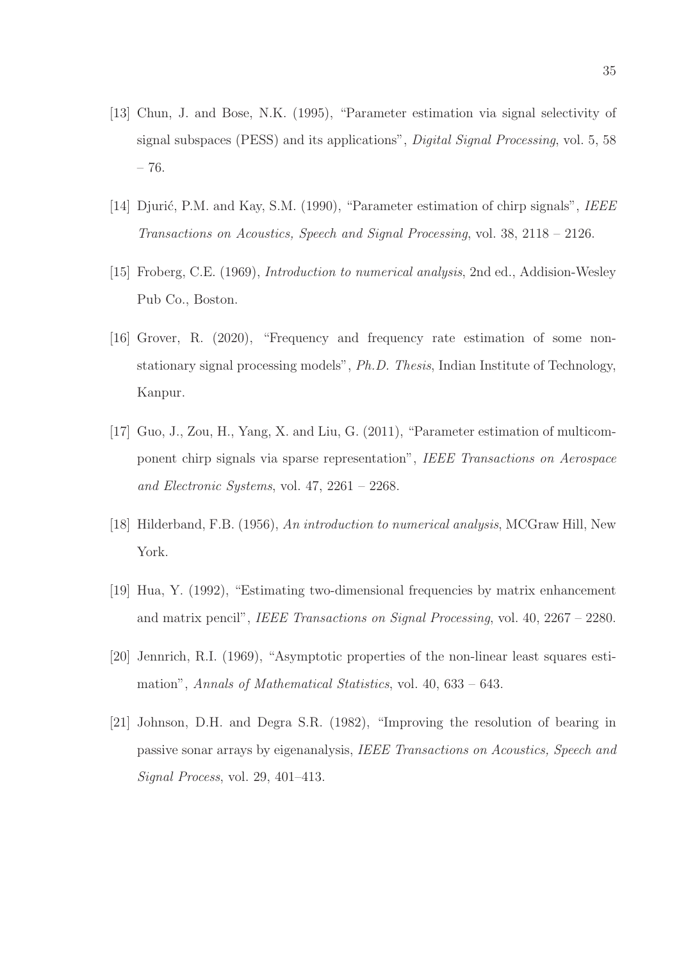- [13] Chun, J. and Bose, N.K. (1995), "Parameter estimation via signal selectivity of signal subspaces (PESS) and its applications", Digital Signal Processing, vol. 5, 58 – 76.
- [14] Djurić, P.M. and Kay, S.M. (1990), "Parameter estimation of chirp signals", IEEE Transactions on Acoustics, Speech and Signal Processing, vol. 38, 2118 – 2126.
- [15] Froberg, C.E. (1969), Introduction to numerical analysis, 2nd ed., Addision-Wesley Pub Co., Boston.
- [16] Grover, R. (2020), "Frequency and frequency rate estimation of some nonstationary signal processing models", Ph.D. Thesis, Indian Institute of Technology, Kanpur.
- [17] Guo, J., Zou, H., Yang, X. and Liu, G. (2011), "Parameter estimation of multicomponent chirp signals via sparse representation", IEEE Transactions on Aerospace and Electronic Systems, vol. 47, 2261 – 2268.
- [18] Hilderband, F.B. (1956), An introduction to numerical analysis, MCGraw Hill, New York.
- [19] Hua, Y. (1992), "Estimating two-dimensional frequencies by matrix enhancement and matrix pencil", IEEE Transactions on Signal Processing, vol. 40, 2267 – 2280.
- [20] Jennrich, R.I. (1969), "Asymptotic properties of the non-linear least squares estimation", Annals of Mathematical Statistics, vol. 40, 633 – 643.
- [21] Johnson, D.H. and Degra S.R. (1982), "Improving the resolution of bearing in passive sonar arrays by eigenanalysis, IEEE Transactions on Acoustics, Speech and Signal Process, vol. 29, 401–413.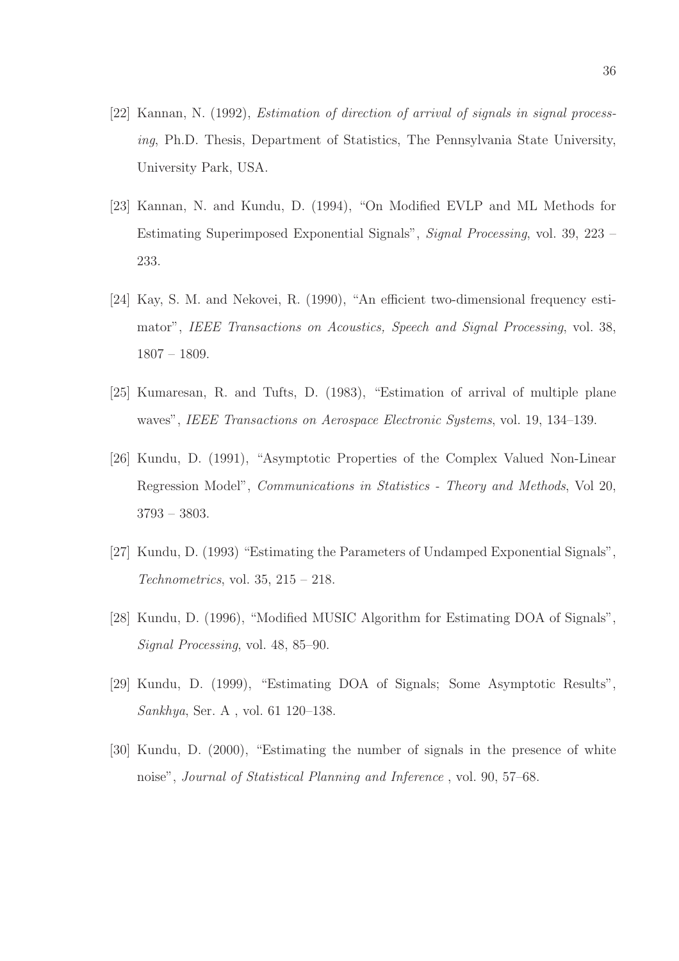- [22] Kannan, N. (1992), Estimation of direction of arrival of signals in signal processing, Ph.D. Thesis, Department of Statistics, The Pennsylvania State University, University Park, USA.
- [23] Kannan, N. and Kundu, D. (1994), "On Modified EVLP and ML Methods for Estimating Superimposed Exponential Signals", Signal Processing, vol. 39, 223 – 233.
- [24] Kay, S. M. and Nekovei, R. (1990), "An efficient two-dimensional frequency estimator", IEEE Transactions on Acoustics, Speech and Signal Processing, vol. 38, 1807 – 1809.
- [25] Kumaresan, R. and Tufts, D. (1983), "Estimation of arrival of multiple plane waves", IEEE Transactions on Aerospace Electronic Systems, vol. 19, 134–139.
- [26] Kundu, D. (1991), "Asymptotic Properties of the Complex Valued Non-Linear Regression Model", Communications in Statistics - Theory and Methods, Vol 20, 3793 – 3803.
- [27] Kundu, D. (1993) "Estimating the Parameters of Undamped Exponential Signals", Technometrics, vol.  $35, 215 - 218$ .
- [28] Kundu, D. (1996), "Modified MUSIC Algorithm for Estimating DOA of Signals", Signal Processing, vol. 48, 85–90.
- [29] Kundu, D. (1999), "Estimating DOA of Signals; Some Asymptotic Results", Sankhya, Ser. A , vol. 61 120–138.
- [30] Kundu, D. (2000), "Estimating the number of signals in the presence of white noise", Journal of Statistical Planning and Inference , vol. 90, 57–68.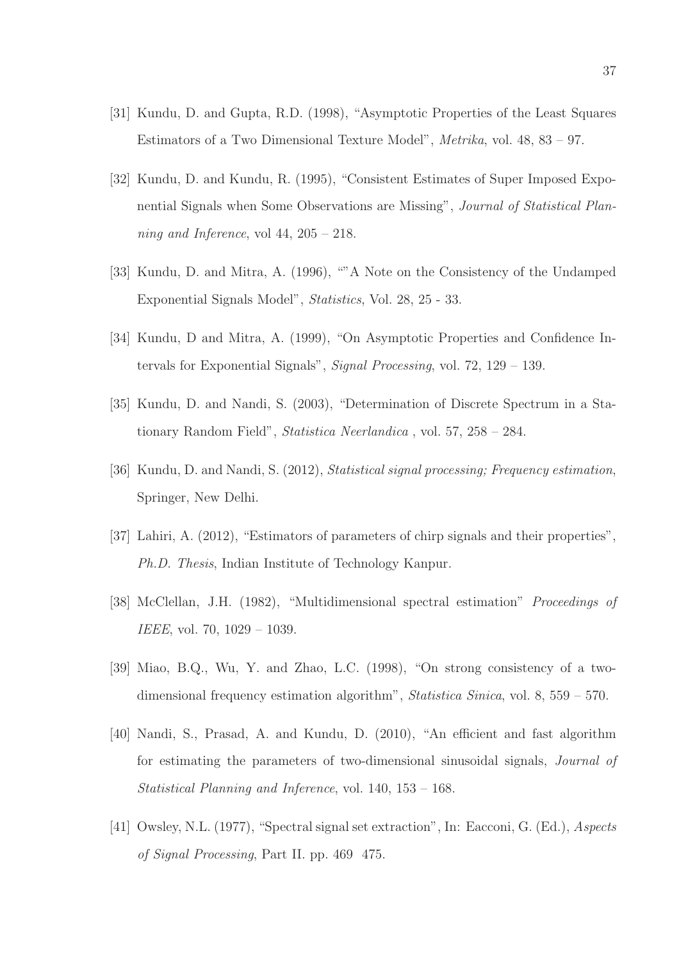- [31] Kundu, D. and Gupta, R.D. (1998), "Asymptotic Properties of the Least Squares Estimators of a Two Dimensional Texture Model", Metrika, vol. 48, 83 – 97.
- [32] Kundu, D. and Kundu, R. (1995), "Consistent Estimates of Super Imposed Exponential Signals when Some Observations are Missing", Journal of Statistical Planning and Inference, vol 44,  $205 - 218$ .
- [33] Kundu, D. and Mitra, A. (1996), ""A Note on the Consistency of the Undamped Exponential Signals Model", Statistics, Vol. 28, 25 - 33.
- [34] Kundu, D and Mitra, A. (1999), "On Asymptotic Properties and Confidence Intervals for Exponential Signals", Signal Processing, vol. 72, 129 – 139.
- [35] Kundu, D. and Nandi, S. (2003), "Determination of Discrete Spectrum in a Stationary Random Field", Statistica Neerlandica , vol. 57, 258 – 284.
- [36] Kundu, D. and Nandi, S. (2012), Statistical signal processing; Frequency estimation, Springer, New Delhi.
- [37] Lahiri, A. (2012), "Estimators of parameters of chirp signals and their properties", Ph.D. Thesis, Indian Institute of Technology Kanpur.
- [38] McClellan, J.H. (1982), "Multidimensional spectral estimation" Proceedings of IEEE, vol. 70, 1029 – 1039.
- [39] Miao, B.Q., Wu, Y. and Zhao, L.C. (1998), "On strong consistency of a twodimensional frequency estimation algorithm", Statistica Sinica, vol. 8, 559 – 570.
- [40] Nandi, S., Prasad, A. and Kundu, D. (2010), "An efficient and fast algorithm for estimating the parameters of two-dimensional sinusoidal signals, Journal of Statistical Planning and Inference, vol. 140, 153 – 168.
- [41] Owsley, N.L. (1977), "Spectral signal set extraction", In: Eacconi, G. (Ed.), Aspects of Signal Processing, Part II. pp. 469 475.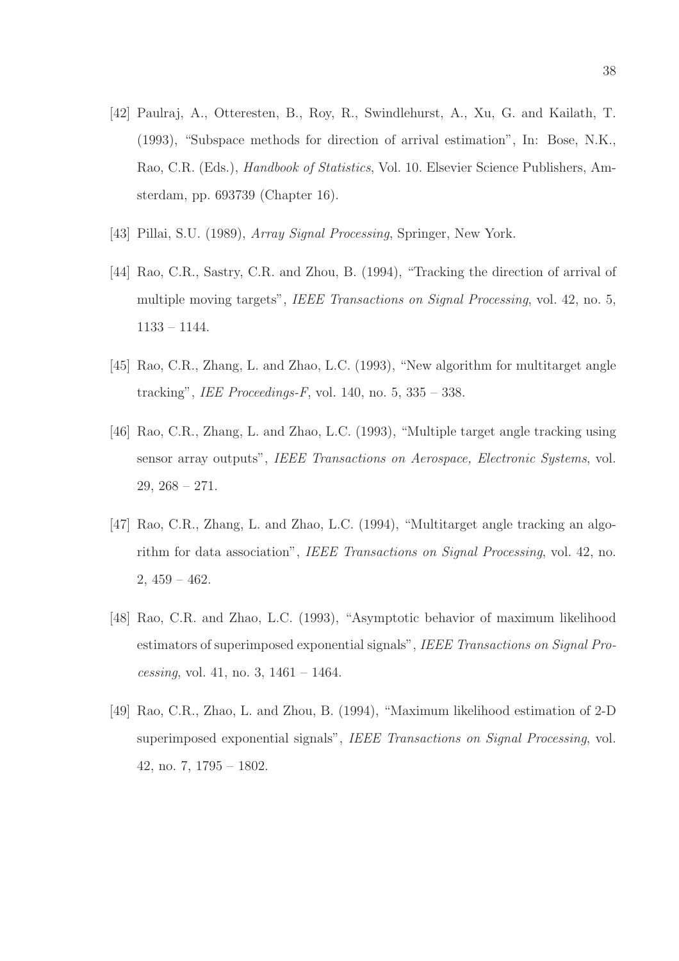- [42] Paulraj, A., Otteresten, B., Roy, R., Swindlehurst, A., Xu, G. and Kailath, T. (1993), "Subspace methods for direction of arrival estimation", In: Bose, N.K., Rao, C.R. (Eds.), Handbook of Statistics, Vol. 10. Elsevier Science Publishers, Amsterdam, pp. 693739 (Chapter 16).
- [43] Pillai, S.U. (1989), *Array Signal Processing*, Springer, New York.
- [44] Rao, C.R., Sastry, C.R. and Zhou, B. (1994), "Tracking the direction of arrival of multiple moving targets", IEEE Transactions on Signal Processing, vol. 42, no. 5, 1133 – 1144.
- [45] Rao, C.R., Zhang, L. and Zhao, L.C. (1993), "New algorithm for multitarget angle tracking", IEE Proceedings-F, vol. 140, no.  $5, 335 - 338$ .
- [46] Rao, C.R., Zhang, L. and Zhao, L.C. (1993), "Multiple target angle tracking using sensor array outputs", IEEE Transactions on Aerospace, Electronic Systems, vol.  $29, 268 - 271.$
- [47] Rao, C.R., Zhang, L. and Zhao, L.C. (1994), "Multitarget angle tracking an algorithm for data association", IEEE Transactions on Signal Processing, vol. 42, no.  $2,459-462.$
- [48] Rao, C.R. and Zhao, L.C. (1993), "Asymptotic behavior of maximum likelihood estimators of superimposed exponential signals", IEEE Transactions on Signal Processing, vol. 41, no. 3,  $1461 - 1464$ .
- [49] Rao, C.R., Zhao, L. and Zhou, B. (1994), "Maximum likelihood estimation of 2-D superimposed exponential signals", IEEE Transactions on Signal Processing, vol. 42, no. 7, 1795 – 1802.